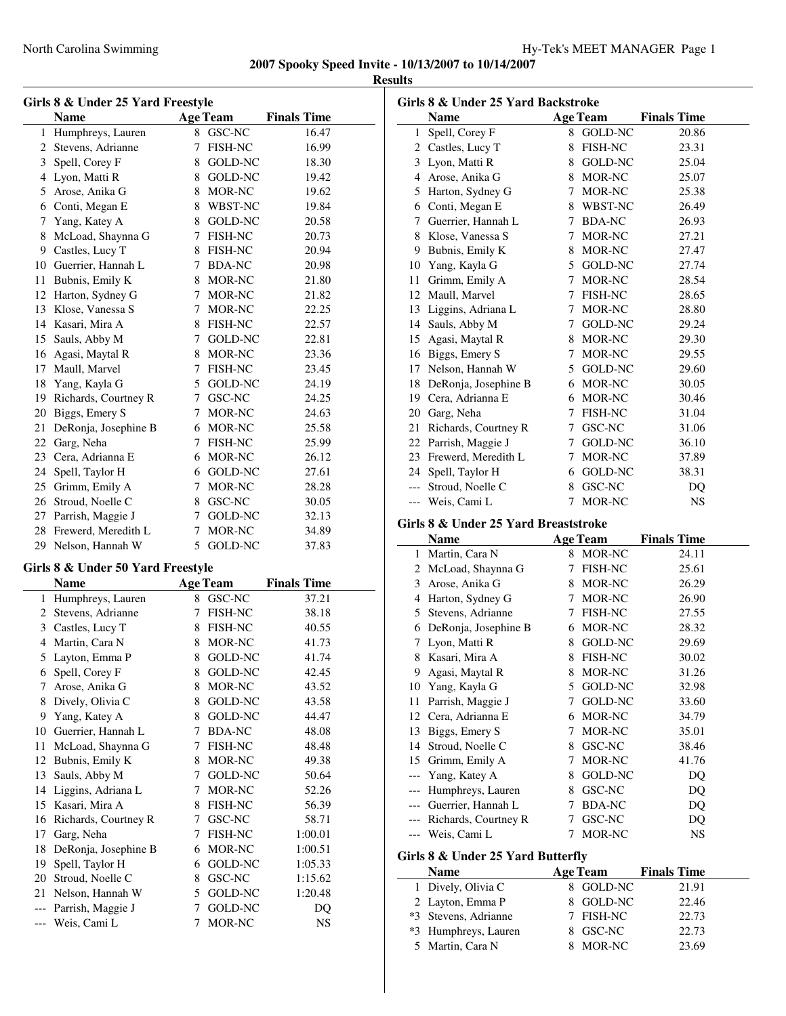| Girls 8 & Under 25 Yard Freestyle |                      |        |                 |                    |  |
|-----------------------------------|----------------------|--------|-----------------|--------------------|--|
|                                   | <b>Name</b>          |        | <b>Age Team</b> | <b>Finals Time</b> |  |
| 1                                 | Humphreys, Lauren    |        | 8 GSC-NC        | 16.47              |  |
| 2                                 | Stevens, Adrianne    | 7      | <b>FISH-NC</b>  | 16.99              |  |
| 3                                 | Spell, Corey F       | 8      | <b>GOLD-NC</b>  | 18.30              |  |
| 4                                 | Lyon, Matti R        |        | 8 GOLD-NC       | 19.42              |  |
| 5                                 | Arose, Anika G       | 8      | MOR-NC          | 19.62              |  |
| 6                                 | Conti, Megan E       | 8      | WBST-NC         | 19.84              |  |
| 7                                 | Yang, Katey A        |        | 8 GOLD-NC       | 20.58              |  |
| 8                                 | McLoad, Shaynna G    | 7      | <b>FISH-NC</b>  | 20.73              |  |
| 9                                 | Castles, Lucy T      | 8      | <b>FISH-NC</b>  | 20.94              |  |
| 10                                | Guerrier, Hannah L   | 7      | <b>BDA-NC</b>   | 20.98              |  |
| 11                                | Bubnis, Emily K      | 8      | MOR-NC          | 21.80              |  |
| 12                                | Harton, Sydney G     | $\tau$ | MOR-NC          | 21.82              |  |
| 13                                | Klose, Vanessa S     | $\tau$ | MOR-NC          | 22.25              |  |
| 14                                | Kasari, Mira A       | 8      | <b>FISH-NC</b>  | 22.57              |  |
| 15                                | Sauls, Abby M        | 7      | <b>GOLD-NC</b>  | 22.81              |  |
| 16                                | Agasi, Maytal R      | 8      | MOR-NC          | 23.36              |  |
| 17                                | Maull, Marvel        | $\tau$ | <b>FISH-NC</b>  | 23.45              |  |
| 18                                | Yang, Kayla G        | 5      | GOLD-NC         | 24.19              |  |
| 19                                | Richards, Courtney R | $\tau$ | GSC-NC          | 24.25              |  |
| 20                                | Biggs, Emery S       | 7      | MOR-NC          | 24.63              |  |
| 21                                | DeRonja, Josephine B | 6      | MOR-NC          | 25.58              |  |
| 22                                | Garg, Neha           | 7      | FISH-NC         | 25.99              |  |
| 23                                | Cera, Adrianna E     | 6      | MOR-NC          | 26.12              |  |
| 24                                | Spell, Taylor H      | 6      | <b>GOLD-NC</b>  | 27.61              |  |
| 25                                | Grimm, Emily A       | 7      | MOR-NC          | 28.28              |  |
| 26                                | Stroud, Noelle C     | 8      | GSC-NC          | 30.05              |  |
| 27                                | Parrish, Maggie J    | 7      | GOLD-NC         | 32.13              |  |
| 28                                | Frewerd, Meredith L  | 7      | MOR-NC          | 34.89              |  |
|                                   | 29 Nelson, Hannah W  |        | 5 GOLD-NC       | 37.83              |  |
| Girls 8 & Under 50 Yard Freestyle |                      |        |                 |                    |  |

## **Is 8 & Under 50 Yard Freesty**

|     | Name                 |   | <b>Age Team</b> | <b>Finals Time</b> |
|-----|----------------------|---|-----------------|--------------------|
| 1   | Humphreys, Lauren    | 8 | GSC-NC          | 37.21              |
| 2   | Stevens, Adrianne    | 7 | <b>FISH-NC</b>  | 38.18              |
| 3   | Castles, Lucy T      | 8 | <b>FISH-NC</b>  | 40.55              |
| 4   | Martin, Cara N       | 8 | MOR-NC          | 41.73              |
| 5   | Layton, Emma P       | 8 | <b>GOLD-NC</b>  | 41.74              |
| 6   | Spell, Corey F       | 8 | GOLD-NC         | 42.45              |
| 7   | Arose, Anika G       | 8 | MOR-NC          | 43.52              |
| 8   | Dively, Olivia C     | 8 | <b>GOLD-NC</b>  | 43.58              |
| 9   | Yang, Katey A        | 8 | <b>GOLD-NC</b>  | 44.47              |
| 10  | Guerrier, Hannah L   | 7 | <b>BDA-NC</b>   | 48.08              |
| 11  | McLoad, Shaynna G    | 7 | <b>FISH-NC</b>  | 48.48              |
| 12  | Bubnis, Emily K      | 8 | MOR-NC          | 49.38              |
| 13  | Sauls, Abby M        | 7 | <b>GOLD-NC</b>  | 50.64              |
| 14  | Liggins, Adriana L   | 7 | MOR-NC          | 52.26              |
| 15  | Kasari, Mira A       | 8 | FISH-NC         | 56.39              |
| 16  | Richards, Courtney R | 7 | GSC-NC          | 58.71              |
| 17  | Garg, Neha           | 7 | <b>FISH-NC</b>  | 1:00.01            |
| 18  | DeRonja, Josephine B | 6 | MOR-NC          | 1:00.51            |
| 19  | Spell, Taylor H      | 6 | <b>GOLD-NC</b>  | 1:05.33            |
| 20  | Stroud, Noelle C     | 8 | GSC-NC          | 1:15.62            |
| 21  | Nelson, Hannah W     | 5 | <b>GOLD-NC</b>  | 1:20.48            |
| --- | Parrish, Maggie J    | 7 | <b>GOLD-NC</b>  | DQ                 |
|     | --- Weis, Cami L     | 7 | MOR-NC          | <b>NS</b>          |

| Girls 8 & Under 25 Yard Backstroke |                      |    |                 |                    |
|------------------------------------|----------------------|----|-----------------|--------------------|
|                                    | <b>Name</b>          |    | <b>Age Team</b> | <b>Finals Time</b> |
| 1                                  | Spell, Corey F       | 8  | GOLD-NC         | 20.86              |
| 2                                  | Castles, Lucy T      | 8  | <b>FISH-NC</b>  | 23.31              |
| 3                                  | Lyon, Matti R        | 8  | <b>GOLD-NC</b>  | 25.04              |
| $\overline{4}$                     | Arose, Anika G       | 8  | MOR-NC          | 25.07              |
| 5                                  | Harton, Sydney G     | 7  | MOR-NC          | 25.38              |
| 6                                  | Conti, Megan E       | 8  | WBST-NC         | 26.49              |
| 7                                  | Guerrier, Hannah L   | 7  | <b>BDA-NC</b>   | 26.93              |
| 8                                  | Klose, Vanessa S     | 7  | MOR-NC          | 27.21              |
| 9                                  | Bubnis, Emily K      | 8  | MOR-NC          | 27.47              |
| 10                                 | Yang, Kayla G        | 5. | GOLD-NC         | 27.74              |
| 11                                 | Grimm, Emily A       | 7  | MOR-NC          | 28.54              |
| 12                                 | Maull, Marvel        | 7  | <b>FISH-NC</b>  | 28.65              |
| 13                                 | Liggins, Adriana L   | 7  | MOR-NC          | 28.80              |
| 14                                 | Sauls, Abby M        | 7  | <b>GOLD-NC</b>  | 29.24              |
| 15                                 | Agasi, Maytal R      | 8  | MOR-NC          | 29.30              |
| 16                                 | Biggs, Emery S       | 7  | MOR-NC          | 29.55              |
| 17                                 | Nelson, Hannah W     |    | 5 GOLD-NC       | 29.60              |
| 18                                 | DeRonja, Josephine B | 6  | MOR-NC          | 30.05              |
| 19                                 | Cera, Adrianna E     | 6  | MOR-NC          | 30.46              |
| 20                                 | Garg, Neha           | 7  | <b>FISH-NC</b>  | 31.04              |
| 21                                 | Richards, Courtney R | 7  | <b>GSC-NC</b>   | 31.06              |
| 22                                 | Parrish, Maggie J    | 7  | GOLD-NC         | 36.10              |
| 23                                 | Frewerd, Meredith L  | 7  | MOR-NC          | 37.89              |
| 24                                 | Spell, Taylor H      | 6  | <b>GOLD-NC</b>  | 38.31              |
| ---                                | Stroud, Noelle C     | 8  | GSC-NC          | DO                 |
| ---                                | Weis, Cami L         | 7  | MOR-NC          | <b>NS</b>          |

# **Girls 8 & Under 25 Yard Breaststroke**

|    | Name                 |   | <b>Age Team</b> | <b>Finals Time</b> |
|----|----------------------|---|-----------------|--------------------|
| 1  | Martin, Cara N       |   | 8 MOR-NC        | 24.11              |
| 2  | McLoad, Shaynna G    | 7 | <b>FISH-NC</b>  | 25.61              |
| 3  | Arose, Anika G       | 8 | MOR-NC          | 26.29              |
| 4  | Harton, Sydney G     | 7 | MOR-NC          | 26.90              |
| 5  | Stevens, Adrianne    | 7 | <b>FISH-NC</b>  | 27.55              |
| 6  | DeRonja, Josephine B | 6 | MOR-NC          | 28.32              |
| 7  | Lyon, Matti R        | 8 | <b>GOLD-NC</b>  | 29.69              |
| 8  | Kasari, Mira A       | 8 | <b>FISH-NC</b>  | 30.02              |
| 9  | Agasi, Maytal R      | 8 | MOR-NC          | 31.26              |
| 10 | Yang, Kayla G        | 5 | GOLD-NC         | 32.98              |
| 11 | Parrish, Maggie J    | 7 | <b>GOLD-NC</b>  | 33.60              |
|    | 12 Cera, Adrianna E  | 6 | MOR-NC          | 34.79              |
| 13 | Biggs, Emery S       | 7 | MOR-NC          | 35.01              |
| 14 | Stroud, Noelle C     | 8 | GSC-NC          | 38.46              |
| 15 | Grimm, Emily A       | 7 | MOR-NC          | 41.76              |
|    | Yang, Katey A        | 8 | GOLD-NC         | DO                 |
|    | Humphreys, Lauren    | 8 | GSC-NC          | DO                 |
|    | Guerrier, Hannah L   | 7 | <b>BDA-NC</b>   | DQ                 |
|    | Richards, Courtney R | 7 | GSC-NC          | DO                 |
|    | Weis, Cami L         | 7 | MOR-NC          | NS                 |
|    |                      |   |                 |                    |

# **Girls 8 & Under 25 Yard Butterfly**

| <b>Name</b>          | <b>Age Team</b> | <b>Finals Time</b> |
|----------------------|-----------------|--------------------|
| 1 Dively, Olivia C   | 8 GOLD-NC       | 21.91              |
| 2 Layton, Emma P     | 8 GOLD-NC       | 22.46              |
| *3 Stevens, Adrianne | 7 FISH-NC       | 22.73              |
| *3 Humphreys, Lauren | 8 GSC-NC        | 22.73              |
| 5 Martin, Cara N     | MOR-NC          | 23.69              |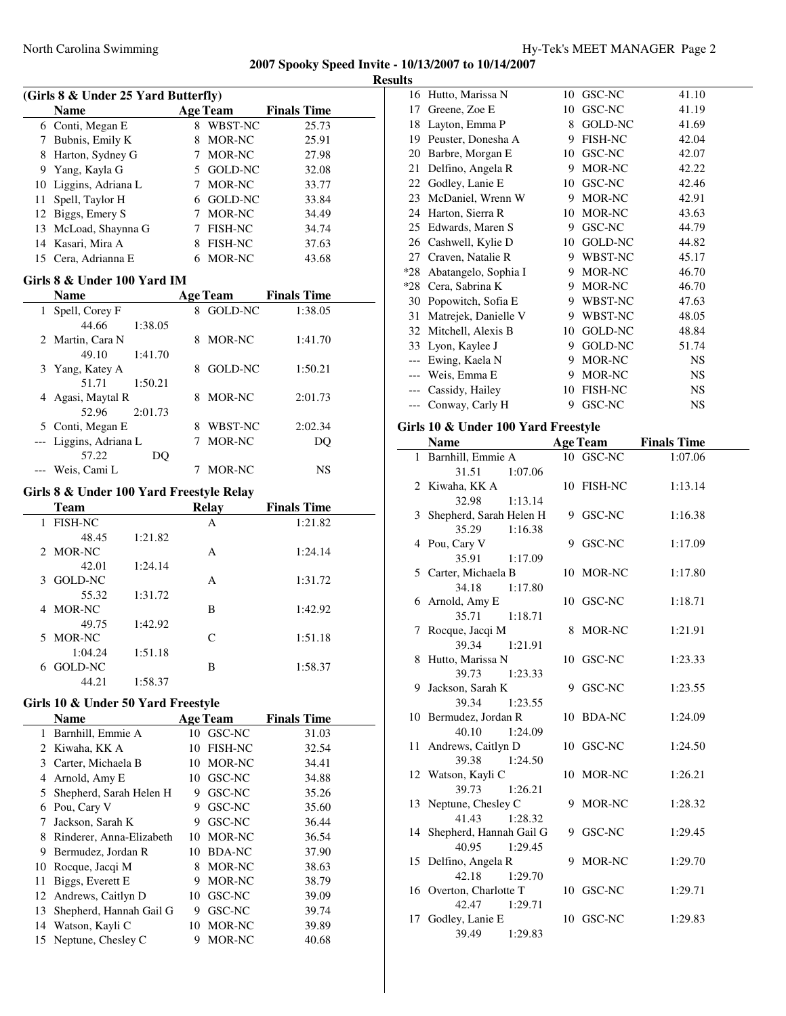**Results**

 $\overline{\phantom{a}}$ 

| (Girls 8 & Under 25 Yard Butterfly) |                                          |    |                 |                      |  |
|-------------------------------------|------------------------------------------|----|-----------------|----------------------|--|
|                                     | Name                                     |    | <b>Age Team</b> | <b>Finals Time</b>   |  |
|                                     | 6 Conti, Megan E                         |    | 8 WBST-NC       | 25.73                |  |
|                                     | 7 Bubnis, Emily K                        |    | 8 MOR-NC        | 25.91                |  |
|                                     | 8 Harton, Sydney G                       |    | 7 MOR-NC        | 27.98                |  |
|                                     | 9 Yang, Kayla G                          |    | 5 GOLD-NC       | 32.08                |  |
|                                     | 10 Liggins, Adriana L                    |    | 7 MOR-NC        | 33.77                |  |
|                                     | 11 Spell, Taylor H                       |    | 6 GOLD-NC       | 33.84                |  |
|                                     | 12 Biggs, Emery S                        |    | 7 MOR-NC        | 34.49                |  |
|                                     | 13 McLoad, Shaynna G                     |    | 7 FISH-NC       | 34.74                |  |
|                                     | 14 Kasari, Mira A                        |    | 8 FISH-NC       | 37.63                |  |
|                                     | 15 Cera, Adrianna E                      |    | 6 MOR-NC        | 43.68                |  |
|                                     |                                          |    |                 |                      |  |
|                                     | Girls 8 & Under 100 Yard IM              |    |                 |                      |  |
|                                     | <b>Name</b>                              |    |                 | Age Team Finals Time |  |
| 1                                   | Spell, Corey F                           |    | 8 GOLD-NC       | 1:38.05              |  |
|                                     | 44.66<br>1:38.05                         |    |                 |                      |  |
| 2                                   | Martin, Cara N                           |    | 8 MOR-NC        | 1:41.70              |  |
|                                     | 49.10<br>1:41.70                         |    |                 |                      |  |
| 3                                   | Yang, Katey A                            |    | 8 GOLD-NC       | 1:50.21              |  |
|                                     | 51.71<br>1:50.21                         |    |                 |                      |  |
|                                     | 4 Agasi, Maytal R                        |    | 8 MOR-NC        | 2:01.73              |  |
|                                     | 52.96<br>2:01.73                         |    |                 |                      |  |
|                                     | 5 Conti, Megan E                         |    | 8 WBST-NC       | 2:02.34              |  |
| ---                                 | Liggins, Adriana L                       |    | 7 MOR-NC        | DQ                   |  |
|                                     | 57.22<br>DQ                              |    |                 |                      |  |
|                                     | --- Weis, Cami L                         | 7  | MOR-NC          | NS                   |  |
|                                     | Girls 8 & Under 100 Yard Freestyle Relay |    |                 |                      |  |
|                                     | <b>Team</b>                              |    | <b>Relay</b>    | <b>Finals Time</b>   |  |
| 1                                   | <b>FISH-NC</b>                           |    | А               | 1:21.82              |  |
|                                     | 48.45<br>1:21.82                         |    |                 |                      |  |
| 2                                   | MOR-NC                                   |    | А               | 1:24.14              |  |
|                                     | 1:24.14<br>42.01                         |    |                 |                      |  |
| 3                                   | <b>GOLD-NC</b>                           |    | А               | 1:31.72              |  |
|                                     | 55.32<br>1:31.72                         |    |                 |                      |  |
| 4                                   | MOR-NC                                   |    | B               | 1:42.92              |  |
|                                     | 49.75<br>1:42.92                         |    |                 |                      |  |
| 5                                   | <b>MOR-NC</b>                            |    | C               | 1:51.18              |  |
|                                     | 1:04.24<br>1:51.18                       |    |                 |                      |  |
|                                     | 6 GOLD-NC                                |    | В               | 1:58.37              |  |
|                                     | 44.21<br>1:58.37                         |    |                 |                      |  |
|                                     | Girls 10 & Under 50 Yard Freestyle       |    |                 |                      |  |
|                                     |                                          |    |                 |                      |  |
|                                     | Name                                     |    | <b>Age Team</b> | <b>Finals Time</b>   |  |
| 1                                   | Barnhill, Emmie A                        |    | 10 GSC-NC       | 31.03                |  |
|                                     | 2 Kiwaha, KK A                           | 10 | <b>FISH-NC</b>  | 32.54                |  |
|                                     | 3 Carter, Michaela B                     |    | 10 MOR-NC       | 34.41                |  |
|                                     | 4 Arnold, Amy E                          |    | 10 GSC-NC       | 34.88                |  |
|                                     | 5 Shepherd, Sarah Helen H                |    | 9 GSC-NC        | 35.26                |  |
|                                     | 6 Pou, Cary V                            |    | 9 GSC-NC        | 35.60                |  |
| 7                                   | Jackson, Sarah K                         |    | 9 GSC-NC        | 36.44                |  |
|                                     | 8 Rinderer, Anna-Elizabeth               |    | 10 MOR-NC       | 36.54                |  |
| 9                                   | Bermudez, Jordan R                       |    | 10 BDA-NC       | 37.90                |  |
| 10                                  | Rocque, Jacqi M                          |    | 8 MOR-NC        | 38.63                |  |
| 11                                  | Biggs, Everett E                         |    | 9 MOR-NC        | 38.79                |  |
| 12                                  | Andrews, Caitlyn D                       |    | 10 GSC-NC       | 39.09                |  |
| 13                                  | Shepherd, Hannah Gail G                  | 9. | GSC-NC          | 39.74                |  |
| 14                                  | Watson, Kayli C                          | 10 | MOR-NC          | 39.89                |  |

14 Watson, Kayli C 10 MOR-NC 39.89 15 Neptune, Chesley C 9 MOR-NC 40.68

| 16    | Hutto, Marissa N     | 10 | GSC-NC         | 41.10     |
|-------|----------------------|----|----------------|-----------|
| 17    | Greene, Zoe E        | 10 | GSC-NC         | 41.19     |
| 18    | Layton, Emma P       | 8  | <b>GOLD-NC</b> | 41.69     |
| 19    | Peuster, Donesha A   | 9  | <b>FISH-NC</b> | 42.04     |
| 20    | Barbre, Morgan E     | 10 | GSC-NC         | 42.07     |
| 21    | Delfino, Angela R    | 9  | MOR-NC         | 42.22     |
| 22    | Godley, Lanie E      | 10 | GSC-NC         | 42.46     |
| 23    | McDaniel, Wrenn W    | 9  | MOR-NC         | 42.91     |
| 24    | Harton, Sierra R     | 10 | MOR-NC         | 43.63     |
| 25    | Edwards, Maren S     | 9  | GSC-NC         | 44.79     |
| 26    | Cashwell, Kylie D    | 10 | <b>GOLD-NC</b> | 44.82     |
| 27    | Craven, Natalie R    | 9  | WBST-NC        | 45.17     |
| $*28$ | Abatangelo, Sophia I | 9  | MOR-NC         | 46.70     |
| $*28$ | Cera, Sabrina K      | 9  | MOR-NC         | 46.70     |
| 30    | Popowitch, Sofia E   | 9  | WBST-NC        | 47.63     |
| 31    | Matrejek, Danielle V | 9  | WBST-NC        | 48.05     |
| 32    | Mitchell, Alexis B   | 10 | <b>GOLD-NC</b> | 48.84     |
|       | 33 Lyon, Kaylee J    | 9  | GOLD-NC        | 51.74     |
| $---$ | Ewing, Kaela N       | 9  | MOR-NC         | NS        |
|       | --- Weis, Emma E     | 9  | MOR-NC         | NS        |
|       | --- Cassidy, Hailey  | 10 | <b>FISH-NC</b> | <b>NS</b> |
| $---$ | Conway, Carly H      | 9  | GSC-NC         | NS        |
|       |                      |    |                |           |

#### **Girls 10 & Under 100 Yard Freestyle**

|    | <b>Name</b>                              |   | <b>Age Team</b> | <b>Finals Time</b> |
|----|------------------------------------------|---|-----------------|--------------------|
|    | 1 Barnhill, Emmie A                      |   | 10 GSC-NC       | 1:07.06            |
|    | 31.51<br>1:07.06                         |   |                 |                    |
|    | 2 Kiwaha, KK A                           |   | 10 FISH-NC      | 1:13.14            |
|    | 32.98<br>1:13.14                         |   |                 |                    |
|    | 3 Shepherd, Sarah Helen H                |   | 9 GSC-NC        | 1:16.38            |
|    | 35.29<br>1:16.38                         |   |                 |                    |
|    | 4 Pou, Cary V                            |   | 9 GSC-NC        | 1:17.09            |
|    | 35.91<br>1:17.09                         |   |                 |                    |
|    | 5 Carter, Michaela B                     |   | 10 MOR-NC       | 1:17.80            |
|    | 34.18<br>1:17.80                         |   |                 |                    |
|    | 6 Arnold, Amy E                          |   | 10 GSC-NC       | 1:18.71            |
|    | 35.71<br>1:18.71                         |   |                 |                    |
| 7  | Rocque, Jacqi M                          |   | 8 MOR-NC        | 1:21.91            |
|    | 39.34<br>1:21.91                         |   |                 |                    |
| 8  | Hutto, Marissa N                         |   | 10 GSC-NC       | 1:23.33            |
|    | 39.73<br>1:23.33                         |   |                 |                    |
| 9  | Jackson, Sarah K                         | 9 | GSC-NC          | 1:23.55            |
|    | 39.34<br>1:23.55                         |   |                 |                    |
|    | 10 Bermudez, Jordan R                    |   | 10 BDA-NC       | 1:24.09            |
|    | 40.10<br>1:24.09                         |   |                 |                    |
|    | 11 Andrews, Caitlyn D                    |   | 10 GSC-NC       | 1:24.50            |
|    | 1:24.50<br>39.38                         |   |                 |                    |
|    | 12 Watson, Kayli C                       |   | 10 MOR-NC       | 1:26.21            |
|    | 39.73<br>1:26.21                         |   |                 |                    |
|    | 13 Neptune, Chesley C                    |   | 9 MOR-NC        | 1:28.32            |
|    | 41.43<br>1:28.32                         |   |                 |                    |
| 14 | Shepherd, Hannah Gail G                  |   | 9 GSC-NC        | 1:29.45            |
|    | 40.95<br>1:29.45                         |   |                 |                    |
|    | 15 Delfino, Angela R<br>42.18<br>1:29.70 |   | 9 MOR-NC        | 1:29.70            |
|    | 16 Overton, Charlotte T                  |   | 10 GSC-NC       | 1:29.71            |
|    | 42.47<br>1:29.71                         |   |                 |                    |
|    | 17 Godley, Lanie E                       |   | 10 GSC-NC       | 1:29.83            |
|    | 39.49<br>1:29.83                         |   |                 |                    |
|    |                                          |   |                 |                    |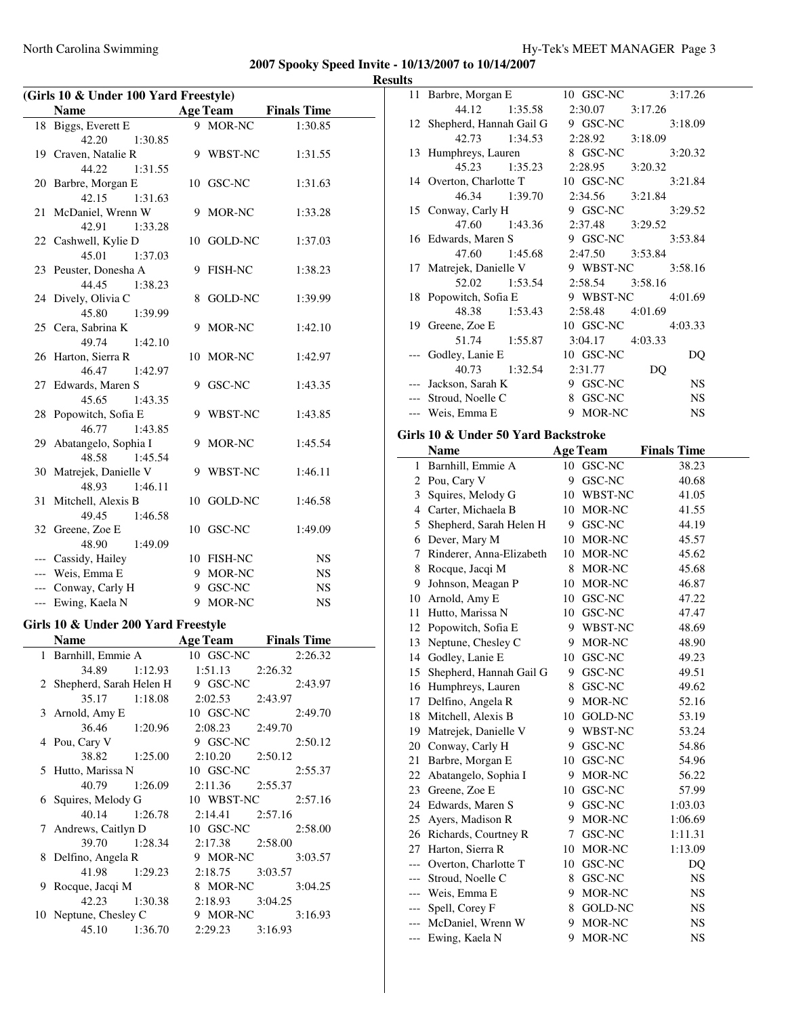| (Girls 10 & Under 100 Yard Freestyle)<br><b>Name</b> |    | <b>Age Team</b> | <b>Finals Time</b> |
|------------------------------------------------------|----|-----------------|--------------------|
| 18 Biggs, Everett E                                  |    | 9 MOR-NC        | 1:30.85            |
| 42.20<br>1:30.85                                     |    |                 |                    |
| 19 Craven, Natalie R                                 |    | 9 WBST-NC       | 1:31.55            |
| 44.22<br>1:31.55                                     |    |                 |                    |
| 20 Barbre, Morgan E                                  |    | 10 GSC-NC       | 1:31.63            |
| 42.15<br>1:31.63                                     |    |                 |                    |
| 21 McDaniel, Wrenn W                                 |    | 9 MOR-NC        | 1:33.28            |
| 42.91<br>1:33.28                                     |    |                 |                    |
| 22 Cashwell, Kylie D                                 |    | 10 GOLD-NC      | 1:37.03            |
| 45.01<br>1:37.03                                     |    |                 |                    |
| 23 Peuster, Donesha A                                |    | 9 FISH-NC       | 1:38.23            |
| 44.45<br>1:38.23                                     |    |                 |                    |
| 24 Dively, Olivia C                                  | 8  | <b>GOLD-NC</b>  | 1:39.99            |
| 45.80<br>1:39.99                                     |    |                 |                    |
| 25 Cera, Sabrina K                                   | 9  | MOR-NC          | 1:42.10            |
| 49.74<br>1:42.10                                     |    |                 |                    |
| 26 Harton, Sierra R                                  | 10 | MOR-NC          | 1:42.97            |
| 46.47<br>1:42.97                                     |    |                 |                    |
| 27 Edwards, Maren S                                  |    | 9 GSC-NC        | 1:43.35            |
| 45.65<br>1:43.35                                     |    |                 |                    |
| 28 Popowitch, Sofia E                                | 9  | WBST-NC         | 1:43.85            |
| 46.77<br>1:43.85                                     |    |                 |                    |
| 29 Abatangelo, Sophia I                              | 9  | MOR-NC          | 1:45.54            |
| 48.58<br>1:45.54                                     |    |                 |                    |
| 30 Matrejek, Danielle V                              |    | 9 WBST-NC       | 1:46.11            |
| 48.93<br>1:46.11                                     |    |                 |                    |
| 31 Mitchell, Alexis B                                |    | 10 GOLD-NC      | 1:46.58            |
| 49.45<br>1:46.58<br>32 Greene, Zoe E                 |    | 10 GSC-NC       | 1:49.09            |
| 48.90<br>1:49.09                                     |    |                 |                    |
| --- Cassidy, Hailey                                  |    | 10 FISH-NC      | <b>NS</b>          |
| --- Weis, Emma E                                     |    | 9 MOR-NC        | <b>NS</b>          |
| --- Conway, Carly H                                  |    | 9 GSC-NC        | NS                 |
| --- Ewing, Kaela N                                   |    | 9 MOR-NC        | <b>NS</b>          |
|                                                      |    |                 |                    |

#### **Girls 10 & Under 200 Yard Freestyle**

| Name                      | <b>Age Team</b>          |         | <b>Finals Time</b> |
|---------------------------|--------------------------|---------|--------------------|
| 1 Barnhill, Emmie A       | 10 GSC-NC                |         | 2:26.32            |
| 34.89 1:12.93             | $1:51.13$ $2:26.32$      |         |                    |
| 2 Shepherd, Sarah Helen H | 9 GSC-NC                 |         | 2:43.97            |
| 35.17 1:18.08             | 2:02.53 2:43.97          |         |                    |
| 3 Arnold, Amy E           | 10 GSC-NC                |         | 2:49.70            |
| 36.46 1:20.96             | 2:08.23                  | 2:49.70 |                    |
| 4 Pou, Cary V             | 9 GSC-NC                 |         | 2:50.12            |
| 38.82 1:25.00             | 2:10.20                  | 2:50.12 |                    |
| 5 Hutto, Marissa N        | 10 GSC-NC                |         | 2:55.37            |
| 40.79 1:26.09             | $2:11.36$ $2:55.37$      |         |                    |
| 6 Squires, Melody G       | 10 WBST-NC 2:57.16       |         |                    |
| 40.14 1:26.78             | $2:14.41$ $2:57.16$      |         |                    |
| 7 Andrews, Caitlyn D      | 10 GSC-NC                |         | 2:58.00            |
| 39.70 1:28.34             | 2:17.38 2:58.00          |         |                    |
| 8 Delfino, Angela R       | 9 MOR-NC                 |         | 3:03.57            |
| 41.98 1:29.23             | 2:18.75 3:03.57          |         |                    |
| 9 Rocque, Jacqi M         | 8 MOR-NC                 |         | 3:04.25            |
| 42.23 1:30.38             | $2:18.93$ $3:04.25$      |         |                    |
| 10 Neptune, Chesley C     | 9 MOR-NC                 |         | 3:16.93            |
| 45.10 1:36.70             | $2:29.23 \qquad 3:16.93$ |         |                    |

| 11 Barbre, Morgan E        |               | 10 GSC-NC          | 3:17.26   |
|----------------------------|---------------|--------------------|-----------|
|                            | 44.12 1:35.58 | 3:17.26<br>2:30.07 |           |
| 12 Shepherd, Hannah Gail G |               | 9 GSC-NC           | 3:18.09   |
|                            | 42.73 1:34.53 | 2:28.92 3:18.09    |           |
| 13 Humphreys, Lauren       |               | 8 GSC-NC           | 3:20.32   |
|                            | 45.23 1:35.23 | 2:28.95<br>3:20.32 |           |
| 14 Overton, Charlotte T    |               | 10 GSC-NC          | 3:21.84   |
|                            | 46.34 1:39.70 | 2:34.56<br>3:21.84 |           |
| 15 Conway, Carly H         |               | 9 GSC-NC           | 3:29.52   |
| 47.60 1:43.36              |               | 2:37.48 3:29.52    |           |
| 16 Edwards, Maren S        |               | 9 GSC-NC           | 3:53.84   |
|                            | 47.60 1:45.68 | 2:47.50 3:53.84    |           |
| 17 Matrejek, Danielle V    |               | 9 WBST-NC 3:58.16  |           |
|                            | 52.02 1:53.54 | 2:58.54 3:58.16    |           |
| 18 Popowitch, Sofia E      |               | 9 WBST-NC 4:01.69  |           |
| 48.38 1:53.43              |               | 2:58.48 4:01.69    |           |
| 19 Greene, Zoe E           |               | 10 GSC-NC 4:03.33  |           |
|                            | 51.74 1:55.87 | 3:04.17 4:03.33    |           |
| --- Godley, Lanie E        |               | 10 GSC-NC          | DQ        |
|                            | 40.73 1:32.54 | 2:31.77            | DQ        |
| --- Jackson, Sarah K       |               | GSC-NC<br>9        | <b>NS</b> |
| Stroud, Noelle C           |               | 8 GSC-NC           | <b>NS</b> |
| --- Weis, Emma E           |               | 9 MOR-NC           | <b>NS</b> |

# **Girls 10 & Under 50 Yard Backstroke**

|       | <b>Name</b>              |    | <b>Age Team</b> | <b>Finals Time</b> |
|-------|--------------------------|----|-----------------|--------------------|
| 1     | Barnhill, Emmie A        | 10 | GSC-NC          | 38.23              |
| 2     | Pou, Cary V              | 9  | GSC-NC          | 40.68              |
| 3     | Squires, Melody G        | 10 | WBST-NC         | 41.05              |
|       | 4 Carter, Michaela B     | 10 | MOR-NC          | 41.55              |
| 5     | Shepherd, Sarah Helen H  | 9  | GSC-NC          | 44.19              |
| 6     | Dever, Mary M            | 10 | MOR-NC          | 45.57              |
| 7     | Rinderer, Anna-Elizabeth | 10 | MOR-NC          | 45.62              |
| 8     | Rocque, Jacqi M          | 8  | MOR-NC          | 45.68              |
| 9     | Johnson, Meagan P        | 10 | MOR-NC          | 46.87              |
| 10    | Arnold, Amy E            | 10 | GSC-NC          | 47.22              |
| 11    | Hutto, Marissa N         | 10 | GSC-NC          | 47.47              |
| 12    | Popowitch, Sofia E       | 9  | WBST-NC         | 48.69              |
| 13    | Neptune, Chesley C       | 9  | MOR-NC          | 48.90              |
|       | 14 Godley, Lanie E       | 10 | GSC-NC          | 49.23              |
| 15    | Shepherd, Hannah Gail G  | 9  | GSC-NC          | 49.51              |
| 16    | Humphreys, Lauren        | 8  | GSC-NC          | 49.62              |
| 17    | Delfino, Angela R        | 9  | MOR-NC          | 52.16              |
| 18    | Mitchell, Alexis B       | 10 | <b>GOLD-NC</b>  | 53.19              |
| 19    | Matrejek, Danielle V     | 9  | WBST-NC         | 53.24              |
|       | 20 Conway, Carly H       | 9  | <b>GSC-NC</b>   | 54.86              |
| 21    | Barbre, Morgan E         | 10 | <b>GSC-NC</b>   | 54.96              |
| 22    | Abatangelo, Sophia I     | 9  | MOR-NC          | 56.22              |
|       | 23 Greene, Zoe E         | 10 | GSC-NC          | 57.99              |
| 24    | Edwards, Maren S         | 9  | GSC-NC          | 1:03.03            |
| 25    | Ayers, Madison R         | 9  | MOR-NC          | 1:06.69            |
| 26    | Richards, Courtney R     | 7  | GSC-NC          | 1:11.31            |
| 27    | Harton, Sierra R         | 10 | MOR-NC          | 1:13.09            |
|       | Overton, Charlotte T     | 10 | GSC-NC          | DQ                 |
|       | Stroud, Noelle C         | 8  | GSC-NC          | <b>NS</b>          |
| ---   | Weis, Emma E             | 9  | MOR-NC          | <b>NS</b>          |
| ---   | Spell, Corey F           | 8  | GOLD-NC         | <b>NS</b>          |
| $---$ | McDaniel, Wrenn W        | 9  | MOR-NC          | NS                 |
| $---$ | Ewing, Kaela N           | 9  | <b>MOR-NC</b>   | NS                 |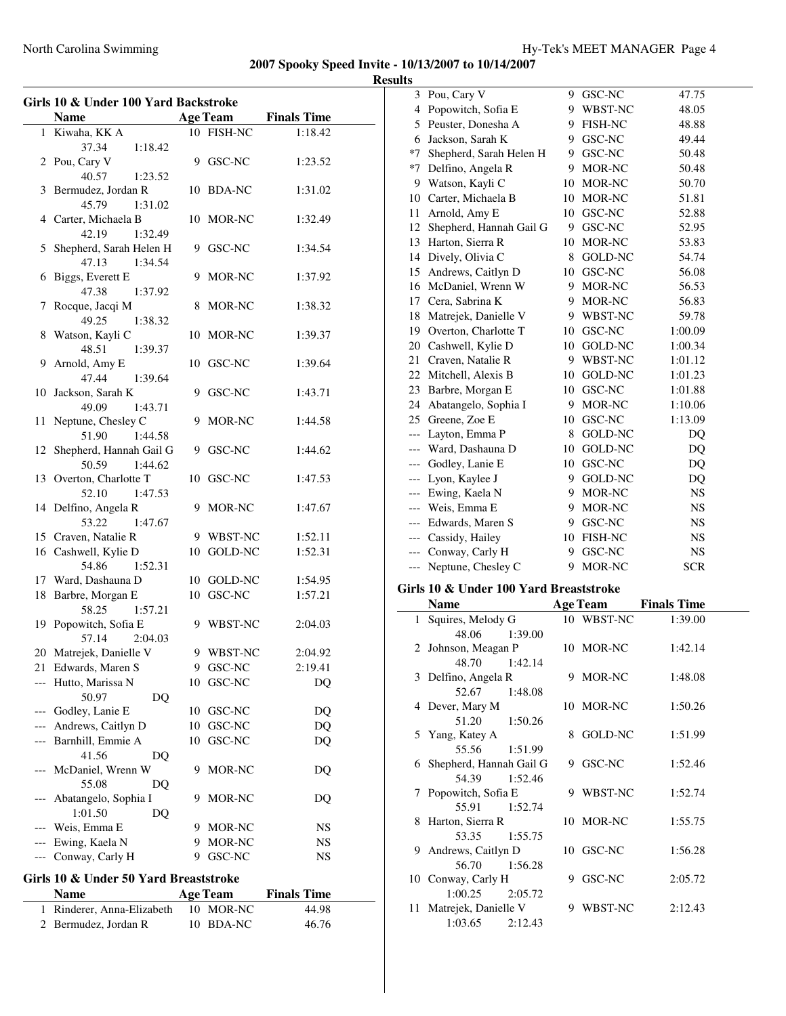$\overline{\phantom{0}}$ 

|                                                      | Girls 10 & Under 100 Yard Backstroke  |    |                 |                    |  |
|------------------------------------------------------|---------------------------------------|----|-----------------|--------------------|--|
| <b>Name</b><br><b>Age Team</b><br><b>Finals Time</b> |                                       |    |                 |                    |  |
|                                                      | 1 Kiwaha, KK A                        |    | 10 FISH-NC      | 1:18.42            |  |
|                                                      | 37.34<br>1:18.42                      |    |                 |                    |  |
|                                                      | 2 Pou, Cary V                         |    | 9 GSC-NC        | 1:23.52            |  |
|                                                      | 40.57<br>1:23.52                      |    |                 |                    |  |
|                                                      | 3 Bermudez, Jordan R                  |    | 10 BDA-NC       | 1:31.02            |  |
|                                                      | 45.79<br>1:31.02                      |    |                 |                    |  |
|                                                      | 4 Carter, Michaela B                  |    | 10 MOR-NC       | 1:32.49            |  |
|                                                      | 42.19<br>1:32.49                      |    |                 |                    |  |
| 5                                                    | Shepherd, Sarah Helen H               |    | 9 GSC-NC        | 1:34.54            |  |
|                                                      | 47.13<br>1:34.54                      |    |                 |                    |  |
| 6                                                    |                                       |    | 9 MOR-NC        | 1:37.92            |  |
|                                                      | Biggs, Everett E<br>47.38             |    |                 |                    |  |
|                                                      | 1:37.92                               |    |                 |                    |  |
| 7                                                    | Rocque, Jacqi M<br>49.25              |    | 8 MOR-NC        | 1:38.32            |  |
|                                                      | 1:38.32<br>Watson, Kayli C            |    | 10 MOR-NC       |                    |  |
| 8                                                    |                                       |    |                 | 1:39.37            |  |
|                                                      | 48.51<br>1:39.37<br>Arnold, Amy E     |    | 10 GSC-NC       | 1:39.64            |  |
| 9.                                                   |                                       |    |                 |                    |  |
|                                                      | 47.44<br>1:39.64                      |    | 9 GSC-NC        |                    |  |
|                                                      | 10 Jackson, Sarah K                   |    |                 | 1:43.71            |  |
|                                                      | 49.09<br>1:43.71                      |    | 9 MOR-NC        |                    |  |
|                                                      | 11 Neptune, Chesley C                 |    |                 | 1:44.58            |  |
|                                                      | 51.90<br>1:44.58                      |    |                 |                    |  |
|                                                      | 12 Shepherd, Hannah Gail G            |    | 9 GSC-NC        | 1:44.62            |  |
|                                                      | 50.59<br>1:44.62                      |    |                 |                    |  |
|                                                      | 13 Overton, Charlotte T               |    | 10 GSC-NC       | 1:47.53            |  |
|                                                      | 52.10<br>1:47.53                      |    |                 |                    |  |
|                                                      | 14 Delfino, Angela R                  |    | 9 MOR-NC        | 1:47.67            |  |
|                                                      | 53.22<br>1:47.67                      |    |                 |                    |  |
|                                                      | 15 Craven, Natalie R                  |    | 9 WBST-NC       | 1:52.11            |  |
|                                                      | 16 Cashwell, Kylie D                  |    | 10 GOLD-NC      | 1:52.31            |  |
|                                                      | 54.86<br>1:52.31                      |    |                 |                    |  |
|                                                      | 17 Ward, Dashauna D                   |    | 10 GOLD-NC      | 1:54.95            |  |
|                                                      | 18 Barbre, Morgan E                   |    | 10 GSC-NC       | 1:57.21            |  |
|                                                      | 58.25<br>1:57.21                      |    |                 |                    |  |
|                                                      | 19 Popowitch, Sofia E                 |    | 9 WBST-NC       | 2:04.03            |  |
|                                                      | 57.14<br>2:04.03                      |    |                 |                    |  |
|                                                      | 20 Matrejek, Danielle V               |    | 9 WBST-NC       | 2:04.92            |  |
| 21                                                   | Edwards, Maren S                      | 9  | GSC-NC          | 2:19.41            |  |
| ---                                                  | Hutto, Marissa N                      | 10 | GSC-NC          | D <sub>O</sub>     |  |
|                                                      | 50.97<br>DQ                           |    |                 |                    |  |
| ---                                                  | Godley, Lanie E                       | 10 | GSC-NC          | DQ                 |  |
| ---                                                  | Andrews, Caitlyn D                    | 10 | GSC-NC          | DQ                 |  |
|                                                      | --- Barnhill, Emmie A                 | 10 | GSC-NC          | DQ                 |  |
|                                                      | 41.56<br>DQ                           |    |                 |                    |  |
|                                                      | McDaniel, Wrenn W                     | 9  | MOR-NC          | DO                 |  |
|                                                      | 55.08<br>DQ                           |    |                 |                    |  |
|                                                      | Abatangelo, Sophia I                  | 9  | MOR-NC          | DQ                 |  |
|                                                      | 1:01.50<br>DQ                         |    |                 |                    |  |
|                                                      | Weis, Emma E                          | 9. | MOR-NC          | NS                 |  |
| ---                                                  | Ewing, Kaela N                        |    | 9 MOR-NC        | NS                 |  |
| $---$                                                | Conway, Carly H                       | 9  | GSC-NC          | NS                 |  |
|                                                      | Girls 10 & Under 50 Yard Breaststroke |    |                 |                    |  |
|                                                      | <b>Name</b>                           |    | <b>Age Team</b> | <b>Finals Time</b> |  |
| 1                                                    | Rinderer, Anna-Elizabeth              |    | 10 MOR-NC       | 44.98              |  |

2 Bermudez, Jordan R 10 BDA-NC 46.76

| 3                   | Pou, Cary V                                |   | 9 GSC-NC        | 47.75              |
|---------------------|--------------------------------------------|---|-----------------|--------------------|
| 4                   | Popowitch, Sofia E                         |   | 9 WBST-NC       | 48.05              |
| 5                   | Peuster, Donesha A                         |   | 9 FISH-NC       | 48.88              |
| 6                   | Jackson, Sarah K                           |   | 9 GSC-NC        | 49.44              |
| $*7$                | Shepherd, Sarah Helen H                    |   | 9 GSC-NC        | 50.48              |
| *7                  | Delfino, Angela R                          |   | 9 MOR-NC        | 50.48              |
| 9                   | Watson, Kayli C                            |   | 10 MOR-NC       | 50.70              |
| 10                  | Carter, Michaela B                         |   | 10 MOR-NC       | 51.81              |
| 11                  | Arnold, Amy E                              |   | 10 GSC-NC       | 52.88              |
| 12                  | Shepherd, Hannah Gail G                    |   | 9 GSC-NC        | 52.95              |
| 13                  | Harton, Sierra R                           |   | 10 MOR-NC       | 53.83              |
| 14                  | Dively, Olivia C                           |   | 8 GOLD-NC       | 54.74              |
| 15                  | Andrews, Caitlyn D                         |   | 10 GSC-NC       | 56.08              |
| 16                  | McDaniel, Wrenn W                          |   | 9 MOR-NC        | 56.53              |
| 17                  | Cera, Sabrina K                            |   | 9 MOR-NC        | 56.83              |
| 18                  | Matrejek, Danielle V                       |   | 9 WBST-NC       | 59.78              |
| 19                  | Overton, Charlotte T                       |   | 10 GSC-NC       | 1:00.09            |
| 20                  | Cashwell, Kylie D                          |   | 10 GOLD-NC      | 1:00.34            |
| 21                  | Craven, Natalie R                          |   | 9 WBST-NC       | 1:01.12            |
| 22                  | Mitchell, Alexis B                         |   | 10 GOLD-NC      | 1:01.23            |
| 23                  | Barbre, Morgan E                           |   | 10 GSC-NC       | 1:01.88            |
| 24                  | Abatangelo, Sophia I                       |   | 9 MOR-NC        | 1:10.06            |
|                     | 25 Greene, Zoe E                           |   | 10 GSC-NC       | 1:13.09            |
| $---$               | Layton, Emma P                             | 8 | <b>GOLD-NC</b>  | DQ                 |
| ---                 | Ward, Dashauna D                           |   | 10 GOLD-NC      | DQ                 |
| $---$               | Godley, Lanie E                            |   | 10 GSC-NC       | DQ                 |
| $---$               | Lyon, Kaylee J                             |   | 9 GOLD-NC       | DQ                 |
| $\qquad \qquad - -$ | Ewing, Kaela N                             |   | 9 MOR-NC        | <b>NS</b>          |
|                     | Weis, Emma E                               |   |                 |                    |
|                     |                                            |   |                 |                    |
| $---$               |                                            |   | 9 MOR-NC        | NS                 |
| $---$               | Edwards, Maren S                           |   | 9 GSC-NC        | NS                 |
| $---$               | Cassidy, Hailey                            |   | 10 FISH-NC      | NS                 |
| $\overline{a}$      | Conway, Carly H                            |   | 9 GSC-NC        | NS                 |
| $---$               | Neptune, Chesley C                         | 9 | MOR-NC          | <b>SCR</b>         |
|                     | Girls 10 & Under 100 Yard Breaststroke     |   |                 |                    |
|                     | <b>Name</b>                                |   | <b>Age Team</b> | <b>Finals Time</b> |
| 1                   | Squires, Melody G                          |   | 10 WBST-NC      | 1:39.00            |
|                     | 48.06<br>1:39.00                           |   |                 |                    |
| 2                   | Johnson, Meagan P                          |   | 10 MOR-NC       | 1:42.14            |
|                     | 48.70<br>1:42.14                           |   |                 |                    |
|                     | 3 Delfino, Angela R                        |   | 9 MOR-NC        | 1:48.08            |
|                     | 52.67<br>1:48.08                           |   |                 |                    |
|                     | 4 Dever, Mary M                            |   | 10 MOR-NC       | 1:50.26            |
|                     | 51.20<br>1:50.26                           |   |                 |                    |
| 5                   | Yang, Katey A                              |   | 8 GOLD-NC       | 1:51.99            |
|                     | 55.56<br>1:51.99                           |   |                 |                    |
| 6                   | Shepherd, Hannah Gail G                    |   | 9 GSC-NC        | 1:52.46            |
|                     | 54.39<br>1:52.46                           |   |                 |                    |
| 7                   | Popowitch, Sofia E                         |   | 9 WBST-NC       | 1:52.74            |
|                     | 55.91<br>1:52.74                           |   |                 |                    |
| 8                   | Harton, Sierra R                           |   | 10 MOR-NC       | 1:55.75            |
|                     | 53.35<br>1:55.75                           |   |                 |                    |
| 9                   | Andrews, Caitlyn D                         |   | 10 GSC-NC       | 1:56.28            |
|                     | 56.70<br>1:56.28                           |   |                 |                    |
|                     | 10 Conway, Carly H                         |   | 9 GSC-NC        | 2:05.72            |
|                     | 1:00.25<br>2:05.72                         |   |                 |                    |
| 11                  | Matrejek, Danielle V<br>1:03.65<br>2:12.43 |   | 9 WBST-NC       | 2:12.43            |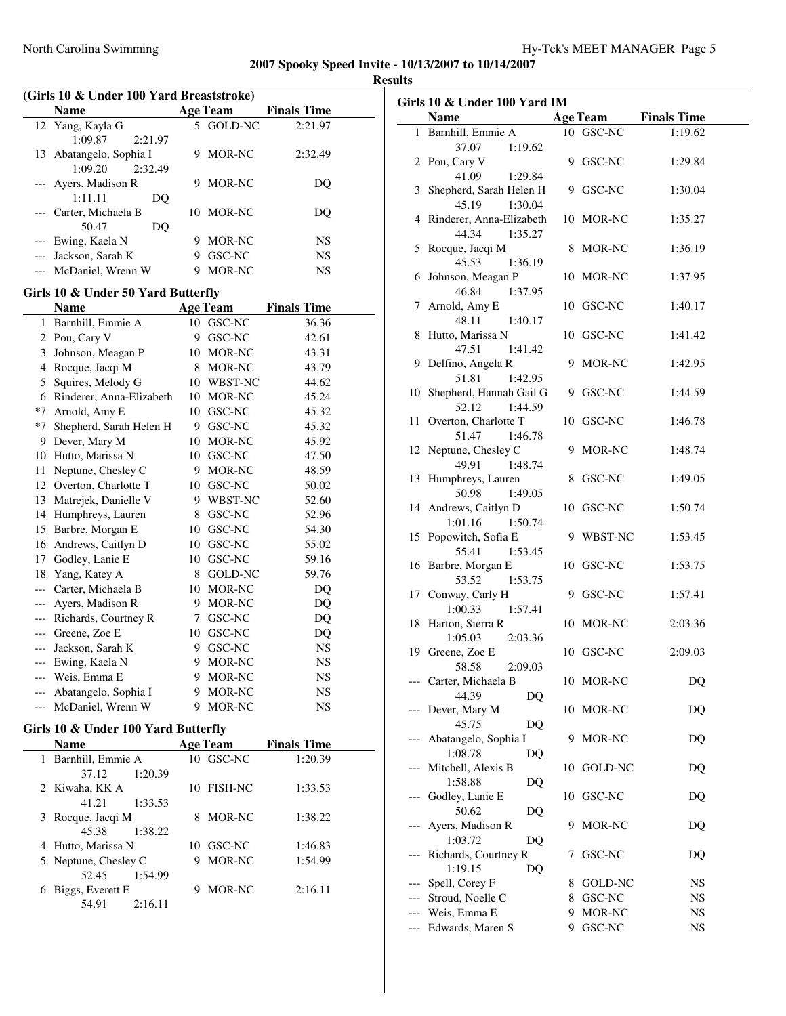## **Results**

| (Girls 10 & Under 100 Yard Breaststroke) |                         |   |                 |                    |  |
|------------------------------------------|-------------------------|---|-----------------|--------------------|--|
|                                          | <b>Name</b>             |   | <b>Age Team</b> | <b>Finals Time</b> |  |
|                                          | 12 Yang, Kayla G        |   | 5 GOLD-NC       | 2:21.97            |  |
|                                          | 1:09.87<br>2:21.97      |   |                 |                    |  |
|                                          | 13 Abatangelo, Sophia I | 9 | MOR-NC          | 2:32.49            |  |
|                                          | 2:32.49<br>1:09.20      |   |                 |                    |  |
|                                          | --- Ayers, Madison R    | 9 | MOR-NC          | DO                 |  |
|                                          | 1:11.11<br>DO           |   |                 |                    |  |
|                                          | --- Carter, Michaela B  |   | 10 MOR-NC       | DO                 |  |
|                                          | 50.47<br>DO             |   |                 |                    |  |
|                                          | --- Ewing, Kaela N      | 9 | MOR-NC          | NS                 |  |
|                                          | --- Jackson, Sarah K    | 9 | GSC-NC          | NS                 |  |
|                                          | --- McDaniel, Wrenn W   | 9 | MOR-NC          | NS                 |  |
|                                          |                         |   |                 |                    |  |

# **Girls 10 & Under 50 Yard Butterfly**

|       | Name                     |    | <b>Age Team</b> | <b>Finals Time</b> |
|-------|--------------------------|----|-----------------|--------------------|
| 1     | Barnhill, Emmie A        | 10 | GSC-NC          | 36.36              |
| 2     | Pou, Cary V              | 9  | GSC-NC          | 42.61              |
| 3     | Johnson, Meagan P        | 10 | MOR-NC          | 43.31              |
| 4     | Rocque, Jacqi M          | 8  | MOR-NC          | 43.79              |
| 5     | Squires, Melody G        | 10 | <b>WBST-NC</b>  | 44.62              |
| 6     | Rinderer, Anna-Elizabeth | 10 | MOR-NC          | 45.24              |
| *7    | Arnold, Amy E            | 10 | GSC-NC          | 45.32              |
| *7    | Shepherd, Sarah Helen H  | 9  | GSC-NC          | 45.32              |
| 9     | Dever, Mary M            | 10 | MOR-NC          | 45.92              |
| 10    | Hutto, Marissa N         | 10 | GSC-NC          | 47.50              |
| 11    | Neptune, Chesley C       | 9  | MOR-NC          | 48.59              |
| 12    | Overton, Charlotte T     | 10 | GSC-NC          | 50.02              |
| 13    | Matrejek, Danielle V     | 9  | WBST-NC         | 52.60              |
| 14    | Humphreys, Lauren        | 8  | GSC-NC          | 52.96              |
| 15    | Barbre, Morgan E         | 10 | GSC-NC          | 54.30              |
| 16    | Andrews, Caitlyn D       | 10 | GSC-NC          | 55.02              |
| 17    | Godley, Lanie E          | 10 | GSC-NC          | 59.16              |
| 18    | Yang, Katey A            | 8  | <b>GOLD-NC</b>  | 59.76              |
| $---$ | Carter, Michaela B       | 10 | MOR-NC          | DQ                 |
| $---$ | Ayers, Madison R         | 9  | MOR-NC          | DQ                 |
| $---$ | Richards, Courtney R     | 7  | GSC-NC          | DQ                 |
| $---$ | Greene, Zoe E            | 10 | GSC-NC          | DQ                 |
| $---$ | Jackson, Sarah K         | 9  | GSC-NC          | <b>NS</b>          |
| $---$ | Ewing, Kaela N           | 9  | MOR-NC          | <b>NS</b>          |
| $---$ | Weis, Emma E             | 9  | MOR-NC          | <b>NS</b>          |
|       | Abatangelo, Sophia I     | 9  | <b>MOR-NC</b>   | <b>NS</b>          |
| $---$ | McDaniel, Wrenn W        | 9  | MOR-NC          | NS                 |

## **Girls 10 & Under 100 Yard Butterfly**

 $\overline{\phantom{0}}$ 

|   | Name                 | <b>Age Team</b>      | <b>Finals Time</b> |
|---|----------------------|----------------------|--------------------|
|   | Barnhill, Emmie A    | $10$ GSC-NC          | 1:20.39            |
|   | 1:20.39<br>37.12     |                      |                    |
|   | 2 Kiwaha, KK A       | <b>FISH-NC</b><br>10 | 1:33.53            |
|   | 1:33.53<br>41.21     |                      |                    |
|   | 3 Rocque, Jacqi M    | MOR-NC<br>8          | 1:38.22            |
|   | 45.38<br>1:38.22     |                      |                    |
|   | 4 Hutto, Marissa N   | 10 GSC-NC            | 1:46.83            |
|   | 5 Neptune, Chesley C | MOR-NC<br>9          | 1:54.99            |
|   | 1:54.99<br>52.45     |                      |                    |
| 6 | Biggs, Everett E     | MOR-NC               | 2:16.11            |
|   | 54.91<br>2:16.11     |                      |                    |

| Girls 10 & Under 100 Yard IM |                            |    |            |                      |
|------------------------------|----------------------------|----|------------|----------------------|
|                              | <b>Name</b>                |    |            | Age Team Finals Time |
| 1.                           | Barnhill, Emmie A          |    | 10 GSC-NC  | 1:19.62              |
|                              | 37.07<br>1:19.62           |    |            |                      |
|                              | 2 Pou, Cary V              |    | 9 GSC-NC   | 1:29.84              |
|                              | 41.09<br>1:29.84           |    |            |                      |
|                              | 3 Shepherd, Sarah Helen H  |    | 9 GSC-NC   | 1:30.04              |
|                              | 45.19<br>1:30.04           |    |            |                      |
|                              | 4 Rinderer, Anna-Elizabeth |    | 10 MOR-NC  | 1:35.27              |
|                              | 44.34<br>1:35.27           |    |            |                      |
|                              | 5 Rocque, Jacqi M          |    | 8 MOR-NC   | 1:36.19              |
|                              | 45.53<br>1:36.19           |    |            |                      |
|                              | 6 Johnson, Meagan P        |    | 10 MOR-NC  | 1:37.95              |
|                              | 46.84<br>1:37.95           |    |            |                      |
|                              | 7 Arnold, Amy E            |    | 10 GSC-NC  | 1:40.17              |
|                              | 48.11<br>1:40.17           |    |            |                      |
|                              | 8 Hutto, Marissa N         |    | 10 GSC-NC  | 1:41.42              |
|                              | 47.51<br>1:41.42           |    |            |                      |
|                              | 9 Delfino, Angela R        |    | 9 MOR-NC   | 1:42.95              |
|                              | 51.81<br>1:42.95           |    |            |                      |
| 10                           | Shepherd, Hannah Gail G    |    | 9 GSC-NC   | 1:44.59              |
|                              | 52.12<br>1:44.59           |    |            |                      |
| 11                           | Overton, Charlotte T       |    | 10 GSC-NC  | 1:46.78              |
|                              | 51.47<br>1:46.78           |    |            |                      |
|                              | 12 Neptune, Chesley C      |    | 9 MOR-NC   | 1:48.74              |
|                              | 49.91<br>1:48.74           |    |            |                      |
|                              | 13 Humphreys, Lauren       |    | 8 GSC-NC   | 1:49.05              |
|                              | 50.98<br>1:49.05           |    |            |                      |
|                              | 14 Andrews, Caitlyn D      |    | 10 GSC-NC  | 1:50.74              |
|                              | 1:50.74<br>1:01.16         |    |            |                      |
|                              | 15 Popowitch, Sofia E      |    | 9 WBST-NC  | 1:53.45              |
|                              | 55.41<br>1:53.45           |    |            |                      |
|                              | 16 Barbre, Morgan E        |    | 10 GSC-NC  | 1:53.75              |
|                              | 53.52<br>1:53.75           |    |            |                      |
|                              | 17 Conway, Carly H         |    | 9 GSC-NC   | 1:57.41              |
|                              | 1:00.33<br>1:57.41         |    |            |                      |
|                              | 18 Harton, Sierra R        |    | 10 MOR-NC  | 2:03.36              |
|                              | 1:05.03<br>2:03.36         |    |            |                      |
|                              | 19 Greene, Zoe E           |    | 10 GSC-NC  | 2:09.03              |
|                              | 58.58<br>2:09.03           |    |            |                      |
|                              | Carter, Michaela B         |    | 10 MOR-NC  | DQ                   |
|                              | 44.39<br>DO                |    |            |                      |
|                              | Dever, Mary M              |    | 10 MOR-NC  | D <sub>O</sub>       |
|                              | 45.75<br>DQ                |    |            |                      |
|                              | Abatangelo, Sophia I       | 9  | MOR-NC     | DQ                   |
|                              | 1:08.78<br>DQ              |    |            |                      |
|                              | Mitchell, Alexis B         |    | 10 GOLD-NC | DQ                   |
|                              | 1:58.88<br>DQ              |    |            |                      |
| ---                          | Godley, Lanie E            |    | 10 GSC-NC  | DQ                   |
|                              | 50.62<br>DQ                |    |            |                      |
|                              | Ayers, Madison R           | 9  | MOR-NC     | DQ                   |
|                              | 1:03.72<br>DQ              |    |            |                      |
|                              | Richards, Courtney R       | 7  | GSC-NC     | DQ                   |
|                              | 1:19.15<br>DQ              |    |            |                      |
|                              | Spell, Corey F             | 8  | GOLD-NC    | NS                   |
|                              | Stroud, Noelle C           | 8  | GSC-NC     | NS                   |
| ---                          | Weis, Emma E               | 9  | MOR-NC     | NS                   |
|                              | Edwards, Maren S           | 9. | GSC-NC     | NS                   |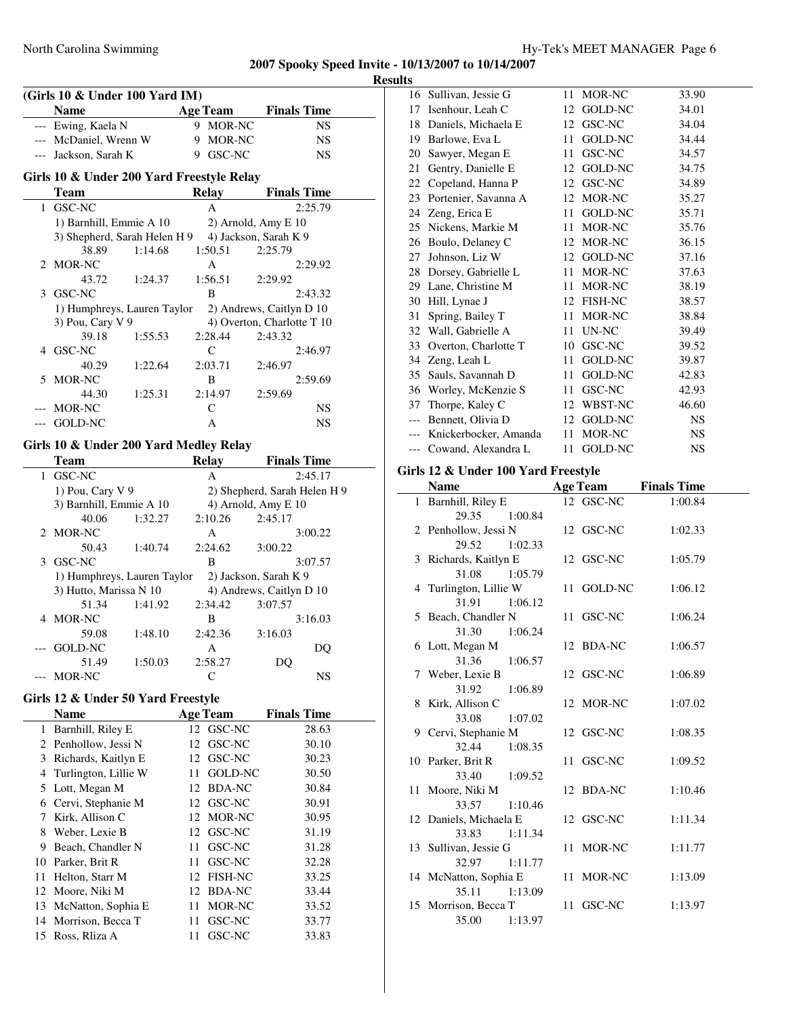**Results**

|       | (Girls 10 & Under 100 Yard IM)<br><b>Name</b> | <b>Age Team</b>      | <b>Finals Time</b>           |
|-------|-----------------------------------------------|----------------------|------------------------------|
|       | --- Ewing, Kaela N                            | 9 MOR-NC             | <b>NS</b>                    |
|       | --- McDaniel, Wrenn W                         | 9 MOR-NC             | NS                           |
| $---$ | Jackson, Sarah K                              | 9 GSC-NC             | NS                           |
|       |                                               |                      |                              |
|       | Girls 10 & Under 200 Yard Freestyle Relay     |                      |                              |
|       | <b>Team</b>                                   | <b>Relay</b>         | <b>Finals Time</b>           |
| 1.    | GSC-NC                                        | A                    | 2:25.79                      |
|       | 1) Barnhill, Emmie A 10                       |                      | 2) Arnold, Amy E 10          |
|       | 3) Shepherd, Sarah Helen H 9                  |                      | 4) Jackson, Sarah K 9        |
|       | 38.89<br>1:14.68                              | 1:50.51              | 2:25.79                      |
| 2     | <b>MOR-NC</b>                                 | A                    | 2:29.92                      |
|       | 43.72<br>1:24.37                              | 1:56.51              | 2:29.92                      |
| 3     | GSC-NC                                        | B                    | 2:43.32                      |
|       | 1) Humphreys, Lauren Taylor                   |                      | 2) Andrews, Caitlyn D 10     |
|       | 3) Pou, Cary V 9                              |                      | 4) Overton, Charlotte T 10   |
|       | 39.18<br>1:55.53                              | 2:28.44              | 2:43.32                      |
| 4     | GSC-NC                                        | $\mathsf{C}$         | 2:46.97                      |
|       | 40.29<br>1:22.64                              | 2:03.71              | 2:46.97                      |
| 5     | MOR-NC                                        | B                    | 2:59.69                      |
|       | 44.30<br>1:25.31                              | 2:14.97              | 2:59.69                      |
|       | MOR-NC                                        | C                    | NS                           |
| $---$ | GOLD-NC                                       | А                    | NS                           |
|       | Girls 10 & Under 200 Yard Medley Relay        |                      |                              |
|       | <b>Team</b>                                   | <b>Relay</b>         | <b>Finals Time</b>           |
| 1     | GSC-NC                                        | A                    | 2:45.17                      |
|       | 1) Pou, Cary V 9                              |                      | 2) Shepherd, Sarah Helen H 9 |
|       | 3) Barnhill, Emmie A 10                       |                      | 4) Arnold, Amy E 10          |
|       | 40.06<br>1:32.27                              | 2:10.26              | 2:45.17                      |
| 2     | MOR-NC                                        | А                    | 3:00.22                      |
|       | 50.43<br>1:40.74                              | 2:24.62              | 3:00.22                      |
|       | 3 GSC-NC                                      | B                    | 3:07.57                      |
|       | 1) Humphreys, Lauren Taylor                   |                      | 2) Jackson, Sarah K 9        |
|       | 3) Hutto, Marissa N 10                        |                      | 4) Andrews, Caitlyn D 10     |
|       | 51.34<br>1:41.92                              | 2:34.42              | 3:07.57                      |
|       | 4 MOR-NC                                      | B                    | 3:16.03                      |
|       | 59.08<br>1:48.10                              | 2:42.36              | 3:16.03                      |
|       | <b>GOLD-NC</b>                                | A                    | DQ                           |
|       | 51.49<br>1:50.03                              | 2:58.27              | DQ                           |
| $---$ | MOR-NC                                        | C                    | NS                           |
|       | Girls 12 & Under 50 Yard Freestyle            |                      |                              |
|       | <b>Name</b>                                   | <b>Age Team</b>      | <b>Finals Time</b>           |
| 1     | Barnhill, Riley E                             | 12 GSC-NC            | 28.63                        |
|       | 2 Penhollow, Jessi N                          | 12<br>GSC-NC         | 30.10                        |
|       | 3 Richards, Kaitlyn E                         | 12 GSC-NC            | 30.23                        |
|       | 4 Turlington, Lillie W                        | GOLD-NC<br>11        | 30.50                        |
| 5.    | Lott, Megan M                                 | 12<br><b>BDA-NC</b>  | 30.84                        |
|       | 6 Cervi, Stephanie M                          | 12<br>GSC-NC         | 30.91                        |
| 7     | Kirk, Allison C                               | 12<br>MOR-NC         | 30.95                        |
| 8     | Weber, Lexie B                                | 12<br>GSC-NC         | 31.19                        |
| 9.    | Beach, Chandler N                             | 11<br>GSC-NC         | 31.28                        |
| 10    | Parker, Brit R                                | 11<br>GSC-NC         | 32.28                        |
| 11    | Helton, Starr M                               | 12<br><b>FISH-NC</b> | 33.25                        |
| 12    | Moore, Niki M                                 | 12<br><b>BDA-NC</b>  | 33.44                        |
| 13    | McNatton, Sophia E                            | 11<br>MOR-NC         | 33.52                        |
| 14    | Morrison, Becca T                             | GSC-NC<br>11         |                              |
| 15    | Ross, Rliza A                                 | GSC-NC<br>11         | 33.77                        |
|       |                                               |                      | 33.83                        |

|       | 16 Sullivan, Jessie G | 11 | MOR-NC         | 33.90     |
|-------|-----------------------|----|----------------|-----------|
| 17    | Isenhour, Leah C      | 12 | <b>GOLD-NC</b> | 34.01     |
| 18    | Daniels, Michaela E   |    | 12 GSC-NC      | 34.04     |
| 19    | Barlowe, Eva L        | 11 | <b>GOLD-NC</b> | 34.44     |
| 20    | Sawyer, Megan E       | 11 | GSC-NC         | 34.57     |
| 21    | Gentry, Danielle E    | 12 | <b>GOLD-NC</b> | 34.75     |
| 22    | Copeland, Hanna P     | 12 | GSC-NC         | 34.89     |
| 23    | Portenier, Savanna A  | 12 | MOR-NC         | 35.27     |
| 24    | Zeng, Erica E         | 11 | GOLD-NC        | 35.71     |
| 25    | Nickens, Markie M     | 11 | MOR-NC         | 35.76     |
| 26    | Boulo, Delaney C      | 12 | MOR-NC         | 36.15     |
| 27    | Johnson, Liz W        | 12 | <b>GOLD-NC</b> | 37.16     |
| 28    | Dorsey, Gabrielle L   | 11 | MOR-NC         | 37.63     |
| 29    | Lane, Christine M     | 11 | MOR-NC         | 38.19     |
| 30    | Hill, Lynae J         |    | 12 FISH-NC     | 38.57     |
| 31    | Spring, Bailey T      | 11 | MOR-NC         | 38.84     |
| 32    | Wall, Gabrielle A     | 11 | UN-NC          | 39.49     |
| 33    | Overton, Charlotte T  | 10 | GSC-NC         | 39.52     |
| 34    | Zeng, Leah L          | 11 | <b>GOLD-NC</b> | 39.87     |
| 35    | Sauls, Savannah D     | 11 | <b>GOLD-NC</b> | 42.83     |
| 36    | Worley, McKenzie S    | 11 | GSC-NC         | 42.93     |
| 37    | Thorpe, Kaley C       | 12 | WBST-NC        | 46.60     |
| $---$ | Bennett, Olivia D     |    | 12 GOLD-NC     | <b>NS</b> |
|       | Knickerbocker, Amanda | 11 | MOR-NC         | <b>NS</b> |
| $---$ | Cowand, Alexandra L   | 11 | GOLD-NC        | <b>NS</b> |
|       |                       |    |                |           |

# **Girls 12 & Under 100 Yard Freestyle**

| <b>Name</b>            | <b>Age Team</b> | <b>Finals Time</b> |
|------------------------|-----------------|--------------------|
| 1 Barnhill, Riley E    | 12 GSC-NC       | 1:00.84            |
| 29.35<br>1:00.84       |                 |                    |
| 2 Penhollow, Jessi N   | 12 GSC-NC       | 1:02.33            |
| 29.52<br>1:02.33       |                 |                    |
| 3 Richards, Kaitlyn E  | 12 GSC-NC       | 1:05.79            |
| 31.08<br>1:05.79       |                 |                    |
| 4 Turlington, Lillie W | 11 GOLD-NC      | 1:06.12            |
| 31.91<br>1:06.12       |                 |                    |
| 5 Beach, Chandler N    | 11 GSC-NC       | 1:06.24            |
| 31.30<br>1:06.24       |                 |                    |
| 6 Lott, Megan M        | 12 BDA-NC       | 1:06.57            |
| 31.36<br>1:06.57       |                 |                    |
| 7 Weber, Lexie B       | 12 GSC-NC       | 1:06.89            |
| 31.92<br>1:06.89       |                 |                    |
| 8 Kirk, Allison C      | 12 MOR-NC       | 1:07.02            |
| 33.08<br>1:07.02       |                 |                    |
| 9 Cervi, Stephanie M   | 12 GSC-NC       | 1:08.35            |
| 32.44<br>1:08.35       |                 |                    |
| 10 Parker, Brit R      | 11 GSC-NC       | 1:09.52            |
| 33.40<br>1:09.52       |                 |                    |
| 11 Moore, Niki M       | 12 BDA-NC       | 1:10.46            |
| 33.57<br>1:10.46       |                 |                    |
| 12 Daniels, Michaela E | 12 GSC-NC       | 1:11.34            |
| 1:11.34<br>33.83       |                 |                    |
| 13 Sullivan, Jessie G  | 11 MOR-NC       | 1:11.77            |
| 32.97<br>1:11.77       |                 |                    |
| 14 McNatton, Sophia E  | 11 MOR-NC       | 1:13.09            |
| 35.11 1:13.09          |                 |                    |
| 15 Morrison, Becca T   | 11 GSC-NC       | 1:13.97            |
| 35.00<br>1:13.97       |                 |                    |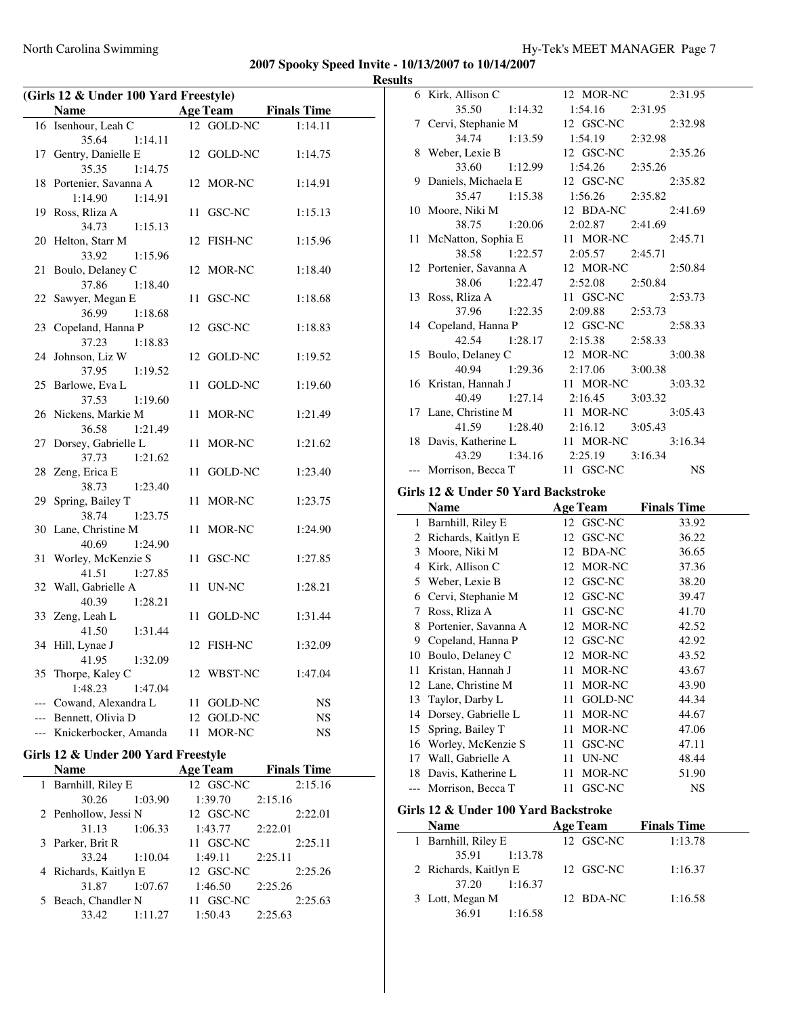| (Girls 12 & Under 100 Yard Freestyle) |                           |    |                 |                    |
|---------------------------------------|---------------------------|----|-----------------|--------------------|
|                                       | <b>Name</b>               |    | <b>Age Team</b> | <b>Finals Time</b> |
| 16                                    | Isenhour, Leah C          |    | 12 GOLD-NC      | 1:14.11            |
|                                       | 35.64<br>1:14.11          |    |                 |                    |
| 17                                    | Gentry, Danielle E        |    | 12 GOLD-NC      | 1:14.75            |
|                                       | 35.35<br>1:14.75          |    |                 |                    |
|                                       | 18 Portenier, Savanna A   |    | 12 MOR-NC       | 1:14.91            |
|                                       | 1:14.90<br>1:14.91        |    |                 |                    |
|                                       | 19 Ross, Rliza A          |    | 11 GSC-NC       | 1:15.13            |
|                                       | 34.73<br>1:15.13          |    |                 |                    |
| 20                                    | Helton, Starr M           |    | 12 FISH-NC      | 1:15.96            |
|                                       | 33.92<br>1:15.96          |    |                 |                    |
| 21                                    | Boulo, Delaney C          |    | 12 MOR-NC       | 1:18.40            |
|                                       | 37.86<br>1:18.40          |    |                 |                    |
| 22                                    | Sawyer, Megan E           |    | 11 GSC-NC       | 1:18.68            |
|                                       | 36.99<br>1:18.68          |    |                 |                    |
| 23                                    | Copeland, Hanna P         |    | 12 GSC-NC       | 1:18.83            |
|                                       | 37.23<br>1:18.83          |    |                 |                    |
| 24                                    | Johnson, Liz W            |    | 12 GOLD-NC      | 1:19.52            |
|                                       | 37.95<br>1:19.52          |    |                 |                    |
| 25                                    | Barlowe, Eva L            |    | 11 GOLD-NC      | 1:19.60            |
|                                       | 37.53<br>1:19.60          |    |                 |                    |
|                                       | 26 Nickens, Markie M      |    | 11 MOR-NC       | 1:21.49            |
|                                       | 36.58<br>1:21.49          |    |                 |                    |
| 27                                    | Dorsey, Gabrielle L       |    | 11 MOR-NC       | 1:21.62            |
|                                       | 1:21.62<br>37.73          |    |                 |                    |
| 28                                    | Zeng, Erica E             |    | 11 GOLD-NC      | 1:23.40            |
|                                       | 38.73<br>1:23.40          |    |                 |                    |
| 29                                    | Spring, Bailey T          |    | 11 MOR-NC       | 1:23.75            |
|                                       | 38.74<br>1:23.75          |    |                 |                    |
| 30                                    | Lane, Christine M         |    | 11 MOR-NC       | 1:24.90            |
|                                       | 40.69<br>1:24.90          |    |                 |                    |
| 31                                    | Worley, McKenzie S        |    | 11 GSC-NC       | 1:27.85            |
|                                       | 41.51<br>1:27.85          |    |                 |                    |
| 32                                    | Wall, Gabrielle A         |    | 11 UN-NC        | 1:28.21            |
|                                       | 40.39<br>1:28.21          |    |                 |                    |
| 33                                    | Zeng, Leah L              |    | 11 GOLD-NC      | 1:31.44            |
|                                       | 41.50<br>1:31.44          |    |                 |                    |
| 34                                    | Hill, Lynae J             |    | 12 FISH-NC      | 1:32.09            |
|                                       | 41.95<br>1:32.09          |    |                 |                    |
|                                       | 35 Thorpe, Kaley C        |    | 12 WBST-NC      | 1:47.04            |
|                                       | 1:48.23<br>1:47.04        |    |                 |                    |
|                                       | --- Cowand, Alexandra L   | 11 | GOLD-NC         | NS                 |
|                                       | --- Bennett, Olivia D     | 12 | GOLD-NC         | NS                 |
|                                       | --- Knickerbocker, Amanda | 11 | MOR-NC          | NS                 |
| Girls 12 & Under 200 Yard Freestyle   |                           |    |                 |                    |

| <b>Name</b>           |         | <b>Age Team</b> |         | <b>Finals Time</b> |
|-----------------------|---------|-----------------|---------|--------------------|
| Barnhill, Riley E     |         | 12 GSC-NC       |         | 2:15.16            |
| 30.26                 | 1:03.90 | 1:39.70         | 2:15.16 |                    |
| 2 Penhollow, Jessi N  |         | 12 GSC-NC       |         | 2:22.01            |
| 31.13                 | 1:06.33 | 1:43.77         | 2:22.01 |                    |
| 3 Parker, Brit R      |         | 11 GSC-NC       |         | 2:25.11            |
| 33.24                 | 1:10.04 | 1:49.11         | 2:25.11 |                    |
| 4 Richards, Kaitlyn E |         | 12 GSC-NC       |         | 2:25.26            |
| 31.87                 | 1:07.67 | 1:46.50         | 2:25.26 |                    |
| 5 Beach, Chandler N   |         | 11 GSC-NC       |         | 2:25.63            |
| 33.42                 | 1:11.27 | 1:50.43         | 2:25.63 |                    |

| 6 Kirk, Allison C       | 12 MOR-NC 2:31.95             |
|-------------------------|-------------------------------|
| 35.50 1:14.32           | $1:54.16$ $2:31.95$           |
| 7 Cervi, Stephanie M    | 12 GSC-NC 2:32.98             |
| 34.74 1:13.59           | 1:54.19 2:32.98               |
| 8 Weber, Lexie B        | 12 GSC-NC 2:35.26             |
| 33.60 1:12.99           | 1:54.26 2:35.26               |
| 9 Daniels, Michaela E   | 12 GSC-NC 2:35.82             |
| 35.47 1:15.38           | 1:56.26 2:35.82               |
| 10 Moore, Niki M        | 12 BDA-NC 2:41.69             |
| 38.75 1:20.06           | $2:02.87$ $2:41.69$           |
| 11 McNatton, Sophia E   | 11 MOR-NC 2:45.71             |
| 38.58 1:22.57           | $2:05.57$ $2:45.71$           |
| 12 Portenier, Savanna A | 12 MOR-NC 2:50.84             |
|                         | 38.06 1:22.47 2:52.08 2:50.84 |
| 13 Ross, Rliza A        | 11 GSC-NC 2:53.73             |
| 37.96 1:22.35           | 2:09.88 2:53.73               |
| 14 Copeland, Hanna P    | 12 GSC-NC 2:58.33             |
| 42.54 1:28.17           | $2:15.38$ $2:58.33$           |
| 15 Boulo, Delaney C     | 12 MOR-NC 3:00.38             |
| 40.94 1:29.36           | 2:17.06 3:00.38               |
| 16 Kristan, Hannah J    | 11 MOR-NC 3:03.32             |
|                         | 40.49 1:27.14 2:16.45 3:03.32 |
| 17 Lane, Christine M    | 11 MOR-NC 3:05.43             |
| 41.59 1:28.40           | 2:16.12 3:05.43               |
| 18 Davis, Katherine L   | 11 MOR-NC 3:16.34             |
|                         | 43.29 1:34.16 2:25.19 3:16.34 |
| --- Morrison, Becca T   | 11 GSC-NC NS                  |

## **Girls 12 & Under 50 Yard Backstroke**

|    | Name                 |      | <b>Age Team</b> | <b>Finals Time</b> |
|----|----------------------|------|-----------------|--------------------|
| 1  | Barnhill, Riley E    |      | 12 GSC-NC       | 33.92              |
| 2  | Richards, Kaitlyn E  | 12   | GSC-NC          | 36.22              |
| 3  | Moore, Niki M        |      | 12 BDA-NC       | 36.65              |
| 4  | Kirk, Allison C      |      | 12 MOR-NC       | 37.36              |
| 5  | Weber, Lexie B       |      | 12 GSC-NC       | 38.20              |
| 6  | Cervi, Stephanie M   |      | 12 GSC-NC       | 39.47              |
| 7  | Ross, Rliza A        | 11   | GSC-NC          | 41.70              |
| 8  | Portenier, Savanna A |      | 12 MOR-NC       | 42.52              |
| 9  | Copeland, Hanna P    | 12   | GSC-NC          | 42.92              |
| 10 | Boulo, Delaney C     |      | 12 MOR-NC       | 43.52              |
| 11 | Kristan, Hannah J    | 11   | MOR-NC          | 43.67              |
|    | 12 Lane, Christine M | 11   | MOR-NC          | 43.90              |
|    | 13 Taylor, Darby L   | 11   | GOLD-NC         | 44.34              |
| 14 | Dorsey, Gabrielle L  | 11   | MOR-NC          | 44.67              |
| 15 | Spring, Bailey T     | 11   | MOR-NC          | 47.06              |
| 16 | Worley, McKenzie S   | 11   | GSC-NC          | 47.11              |
| 17 | Wall, Gabrielle A    | 11   | UN-NC           | 48.44              |
| 18 | Davis, Katherine L   | 11   | MOR-NC          | 51.90              |
|    | Morrison, Becca T    | 11 - | GSC-NC          | <b>NS</b>          |

# **Girls 12 & Under 100 Yard Backstroke**

| <b>Name</b>           | <b>Age Team</b> | <b>Finals Time</b> |
|-----------------------|-----------------|--------------------|
| 1 Barnhill, Riley E   | 12 GSC-NC       | 1:13.78            |
| 1:13.78<br>35.91      |                 |                    |
| 2 Richards, Kaitlyn E | 12 GSC-NC       | 1:16.37            |
| 1:16.37<br>37.20      |                 |                    |
| 3 Lott, Megan M       | 12 BDA-NC       | 1:16.58            |
| 1:16.58<br>36.91      |                 |                    |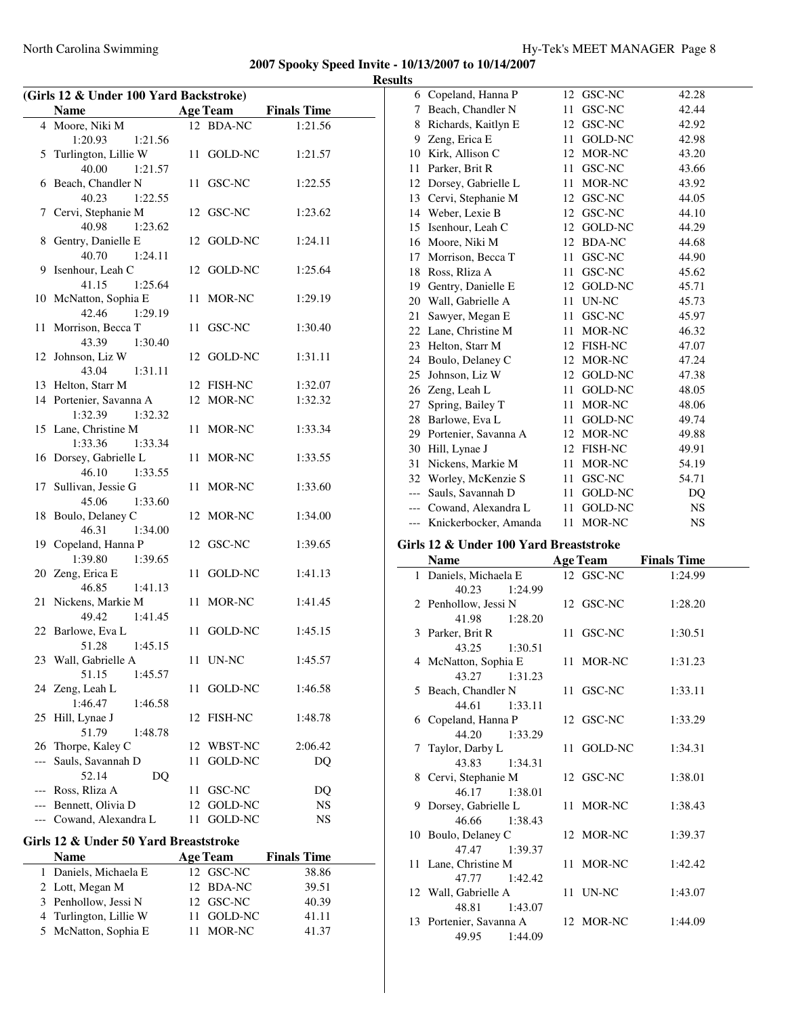$\overline{\phantom{a}}$ 

| (Girls 12 & Under 100 Yard Backstroke) |                                       |      |                 |                    |  |
|----------------------------------------|---------------------------------------|------|-----------------|--------------------|--|
|                                        | <b>Name</b>                           |      | <b>Age Team</b> | <b>Finals Time</b> |  |
|                                        | 4 Moore, Niki M                       |      | 12 BDA-NC       | 1:21.56            |  |
|                                        | 1:20.93<br>1:21.56                    |      |                 |                    |  |
| 5                                      | Turlington, Lillie W                  |      | 11 GOLD-NC      | 1:21.57            |  |
|                                        | 40.00<br>1:21.57                      |      |                 |                    |  |
| 6                                      | Beach, Chandler N                     |      | 11 GSC-NC       | 1:22.55            |  |
|                                        | 40.23<br>1:22.55                      |      |                 |                    |  |
|                                        | 7 Cervi, Stephanie M                  |      | 12 GSC-NC       | 1:23.62            |  |
|                                        | 40.98<br>1:23.62                      |      |                 |                    |  |
|                                        | 8 Gentry, Danielle E                  |      | 12 GOLD-NC      | 1:24.11            |  |
|                                        | 40.70<br>1:24.11                      |      |                 |                    |  |
| 9                                      | Isenhour, Leah C                      |      | 12 GOLD-NC      | 1:25.64            |  |
|                                        | 41.15<br>1:25.64                      |      |                 |                    |  |
|                                        | 10 McNatton, Sophia E                 |      | 11 MOR-NC       | 1:29.19            |  |
|                                        | 42.46<br>1:29.19                      |      |                 |                    |  |
| 11                                     | Morrison, Becca T                     |      | 11 GSC-NC       | 1:30.40            |  |
|                                        | 43.39<br>1:30.40                      |      |                 |                    |  |
|                                        | 12 Johnson, Liz W                     |      | 12 GOLD-NC      | 1:31.11            |  |
|                                        | 43.04<br>1:31.11                      |      |                 |                    |  |
|                                        | 13 Helton, Starr M                    |      | 12 FISH-NC      | 1:32.07            |  |
|                                        | 14 Portenier, Savanna A               |      | 12 MOR-NC       | 1:32.32            |  |
|                                        | 1:32.39 1:32.32                       |      |                 |                    |  |
|                                        | 15 Lane, Christine M                  |      | 11 MOR-NC       | 1:33.34            |  |
|                                        | 1:33.36<br>1:33.34                    |      |                 |                    |  |
|                                        | 16 Dorsey, Gabrielle L                |      | 11 MOR-NC       | 1:33.55            |  |
|                                        | 46.10<br>1:33.55                      |      |                 |                    |  |
|                                        | 17 Sullivan, Jessie G                 |      | 11 MOR-NC       | 1:33.60            |  |
|                                        | 45.06<br>1:33.60                      |      |                 |                    |  |
|                                        | 18 Boulo, Delaney C                   |      | 12 MOR-NC       | 1:34.00            |  |
|                                        | 46.31<br>1:34.00                      |      |                 |                    |  |
|                                        | 19 Copeland, Hanna P                  |      | 12 GSC-NC       | 1:39.65            |  |
|                                        | 1:39.80<br>1:39.65                    |      |                 |                    |  |
|                                        | 20 Zeng, Erica E                      | 11   | GOLD-NC         | 1:41.13            |  |
|                                        | 46.85<br>1:41.13                      |      |                 |                    |  |
| 21                                     | Nickens, Markie M                     |      | 11 MOR-NC       | 1:41.45            |  |
|                                        | 49.42<br>1:41.45                      |      |                 |                    |  |
|                                        | 22 Barlowe, Eva L                     |      | 11 GOLD-NC      | 1:45.15            |  |
|                                        | 51.28<br>1:45.15                      |      |                 |                    |  |
|                                        | 23 Wall, Gabrielle A                  |      | 11 UN-NC        | 1:45.57            |  |
|                                        | 51.15<br>1:45.57                      |      |                 |                    |  |
| 24                                     | Zeng, Leah L                          | 11   | GOLD-NC         | 1:46.58            |  |
|                                        | 1:46.47<br>1:46.58                    |      |                 |                    |  |
| 25                                     | Hill, Lynae J                         |      | 12 FISH-NC      | 1:48.78            |  |
|                                        | 51.79<br>1:48.78                      |      |                 |                    |  |
| 26                                     | Thorpe, Kaley C                       |      | 12 WBST-NC      | 2:06.42            |  |
| $---$                                  | Sauls, Savannah D                     | 11   | GOLD-NC         | DQ                 |  |
|                                        | 52.14<br>DO                           |      |                 |                    |  |
|                                        |                                       |      |                 | DQ                 |  |
|                                        | --- Ross, Rliza A                     | 11 - | GSC-NC          |                    |  |
|                                        | --- Bennett, Olivia D                 |      | 12 GOLD-NC      | NS                 |  |
|                                        | --- Cowand, Alexandra L               | 11 - | GOLD-NC         | NS                 |  |
|                                        | Girls 12 & Under 50 Yard Breaststroke |      |                 |                    |  |
|                                        | Name                                  |      | <b>Age Team</b> | <b>Finals Time</b> |  |
| 1                                      | Daniels, Michaela E                   |      | 12 GSC-NC       | 38.86              |  |
|                                        | 2 Lott, Megan M                       | 12   | <b>BDA-NC</b>   | 39.51              |  |

3 Penhollow, Jessi N 12 GSC-NC 40.39 4 Turlington, Lillie W 11 GOLD-NC 41.11 5 McNatton, Sophia E 11 MOR-NC 41.37

| 6     | Copeland, Hanna P                                      | 12 | GSC-NC          | 42.28              |  |
|-------|--------------------------------------------------------|----|-----------------|--------------------|--|
| 7     | Beach, Chandler N                                      | 11 | GSC-NC          | 42.44              |  |
| 8     | Richards, Kaitlyn E                                    |    | 12 GSC-NC       | 42.92              |  |
| 9     | Zeng, Erica E                                          |    | 11 GOLD-NC      | 42.98              |  |
|       | 10 Kirk, Allison C                                     |    | 12 MOR-NC       | 43.20              |  |
| 11    | Parker, Brit R                                         |    | 11 GSC-NC       | 43.66              |  |
|       | 12 Dorsey, Gabrielle L                                 |    | 11 MOR-NC       | 43.92              |  |
|       | 13 Cervi, Stephanie M                                  |    | 12 GSC-NC       | 44.05              |  |
|       | 14 Weber, Lexie B                                      |    | 12 GSC-NC       | 44.10              |  |
| 15    | Isenhour, Leah C                                       |    | 12 GOLD-NC      | 44.29              |  |
| 16    | Moore, Niki M                                          |    | 12 BDA-NC       | 44.68              |  |
| 17    | Morrison, Becca T                                      |    | 11 GSC-NC       | 44.90              |  |
| 18    | Ross, Rliza A                                          |    | 11 GSC-NC       | 45.62              |  |
|       | 19 Gentry, Danielle E                                  |    | 12 GOLD-NC      | 45.71              |  |
|       | 20 Wall, Gabrielle A                                   |    | 11 UN-NC        | 45.73              |  |
| 21    | Sawyer, Megan E                                        |    | 11 GSC-NC       | 45.97              |  |
|       | 22 Lane, Christine M                                   |    | 11 MOR-NC       | 46.32              |  |
|       | 23 Helton, Starr M                                     |    | 12 FISH-NC      | 47.07              |  |
|       | 24 Boulo, Delaney C                                    |    | 12 MOR-NC       | 47.24              |  |
|       | 25 Johnson, Liz W                                      |    | 12 GOLD-NC      | 47.38              |  |
|       |                                                        |    |                 |                    |  |
|       | 26 Zeng, Leah L                                        |    | 11 GOLD-NC      | 48.05              |  |
| 27    | Spring, Bailey T                                       |    | 11 MOR-NC       | 48.06              |  |
| 28    | Barlowe, Eva L                                         |    | 11 GOLD-NC      | 49.74              |  |
|       | 29 Portenier, Savanna A                                |    | 12 MOR-NC       | 49.88              |  |
|       | 30 Hill, Lynae J                                       |    | 12 FISH-NC      | 49.91              |  |
| 31    | Nickens, Markie M                                      |    | 11 MOR-NC       | 54.19              |  |
|       | 32 Worley, McKenzie S                                  |    | 11 GSC-NC       | 54.71              |  |
| $---$ | Sauls, Savannah D                                      |    | 11 GOLD-NC      | DQ                 |  |
|       |                                                        |    |                 |                    |  |
|       | Cowand, Alexandra L                                    | 11 | GOLD-NC         | <b>NS</b>          |  |
|       | Knickerbocker, Amanda                                  |    | 11 MOR-NC       | <b>NS</b>          |  |
|       | Girls 12 & Under 100 Yard Breaststroke                 |    |                 |                    |  |
|       | <b>Name</b>                                            |    |                 |                    |  |
| 1     |                                                        |    | <b>Age Team</b> | <b>Finals Time</b> |  |
|       | Daniels, Michaela E<br>40.23<br>1:24.99                |    | 12 GSC-NC       | 1:24.99            |  |
|       |                                                        | 12 | <b>GSC-NC</b>   | 1:28.20            |  |
|       | 2 Penhollow, Jessi N<br>41.98<br>1:28.20               |    |                 |                    |  |
|       | 3 Parker, Brit R                                       | 11 | GSC-NC          | 1:30.51            |  |
|       | 43.25<br>1:30.51                                       |    |                 |                    |  |
|       | 4 McNatton, Sophia E                                   |    | 11 MOR-NC       | 1:31.23            |  |
|       | 43.27<br>1:31.23                                       |    |                 |                    |  |
|       | 5 Beach, Chandler N                                    |    | 11 GSC-NC       | 1:33.11            |  |
|       | 44.61<br>1:33.11                                       |    |                 |                    |  |
| 6     | Copeland, Hanna P                                      |    | 12 GSC-NC       | 1:33.29            |  |
|       | 44.20<br>1:33.29                                       |    |                 |                    |  |
| 7     | Taylor, Darby L                                        |    | 11 GOLD-NC      | 1:34.31            |  |
|       | 43.83<br>1:34.31                                       |    |                 |                    |  |
| 8     | Cervi, Stephanie M                                     |    | 12 GSC-NC       | 1:38.01            |  |
|       | 46.17<br>1:38.01                                       |    |                 |                    |  |
| 9     | Dorsey, Gabrielle L                                    |    | 11 MOR-NC       | 1:38.43            |  |
|       | 46.66<br>1:38.43                                       |    |                 |                    |  |
|       | 10 Boulo, Delaney C                                    |    | 12 MOR-NC       | 1:39.37            |  |
|       | 47.47<br>1:39.37                                       |    |                 |                    |  |
| 11    | Lane, Christine M                                      |    | 11 MOR-NC       | 1:42.42            |  |
|       | 47.77<br>1:42.42                                       |    |                 |                    |  |
|       | 12 Wall, Gabrielle A                                   |    | 11 UN-NC        | 1:43.07            |  |
|       | 48.81<br>1:43.07<br>$_{\text{trans}}$ $_{\text{vars}}$ |    | $12$ $MOD$ $M$  | 1.4400             |  |

13 Portenier, Savanna A 12 MOR-NC 1:44.09 49.95 1:44.09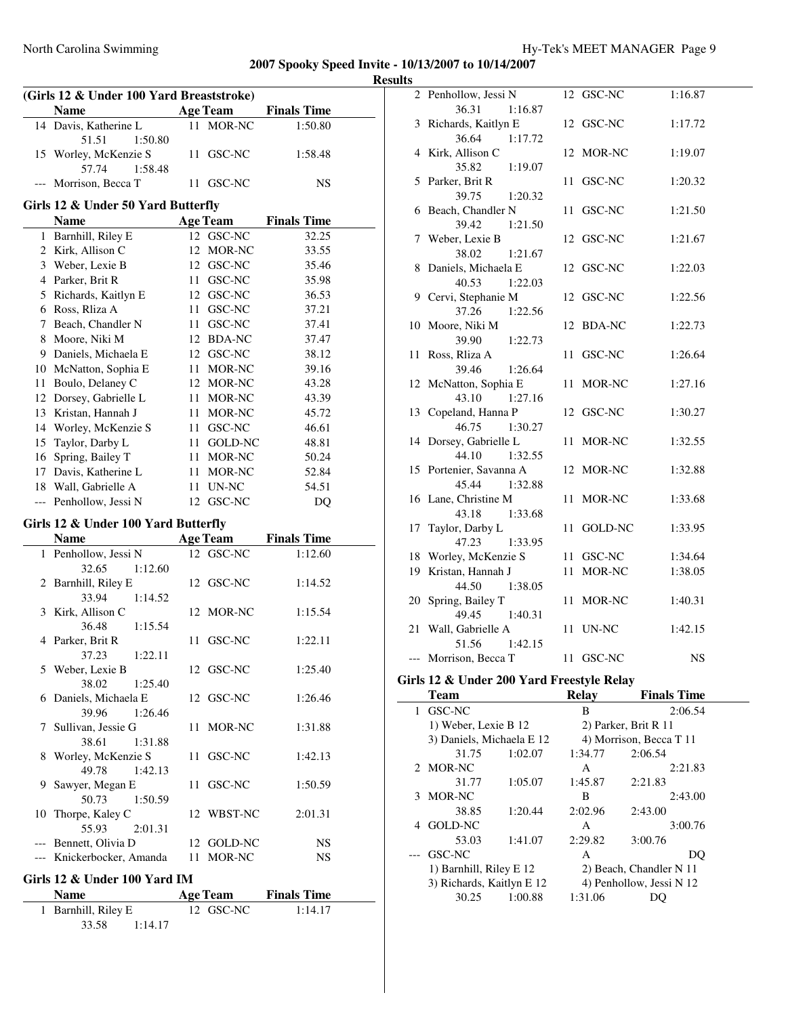| (Girls 12 & Under 100 Yard Breaststroke) |                                      |    |                 |                    |  |  |
|------------------------------------------|--------------------------------------|----|-----------------|--------------------|--|--|
|                                          | Name                                 |    | <b>Age Team</b> | <b>Finals Time</b> |  |  |
|                                          | 14 Davis, Katherine L                | 11 | MOR-NC          | 1:50.80            |  |  |
|                                          | 51.51<br>1:50.80                     |    |                 |                    |  |  |
|                                          | 15 Worley, McKenzie S                | 11 | GSC-NC          | 1:58.48            |  |  |
|                                          | 57.74<br>1:58.48                     |    |                 |                    |  |  |
|                                          | Morrison, Becca T                    |    | 11 GSC-NC       | NS                 |  |  |
| Girls 12 & Under 50 Yard Butterfly       |                                      |    |                 |                    |  |  |
|                                          | Name                                 |    | <b>Age Team</b> | <b>Finals Time</b> |  |  |
|                                          | 1 Barnhill, Riley E                  |    | 12 GSC-NC       | 32.25              |  |  |
|                                          | 2 Kirk, Allison C                    |    | 12 MOR-NC       | 33.55              |  |  |
|                                          | 3 Weber, Lexie B                     |    | 12 GSC-NC       | 35.46              |  |  |
|                                          | 4 Parker, Brit R                     |    | 11 GSC-NC       | 35.98              |  |  |
|                                          | 5 Richards, Kaitlyn E                |    | 12 GSC-NC       | 36.53              |  |  |
|                                          | 6 Ross, Rliza A                      | 11 | GSC-NC          | 37.21              |  |  |
|                                          | 7 Beach, Chandler N                  | 11 | GSC-NC          | 37.41              |  |  |
|                                          | 8 Moore, Niki M                      |    | 12 BDA-NC       | 37.47              |  |  |
|                                          | 9 Daniels, Michaela E                |    | 12 GSC-NC       | 38.12              |  |  |
|                                          | 10 McNatton, Sophia E                |    | 11 MOR-NC       | 39.16              |  |  |
|                                          | 11 Boulo, Delaney C                  |    | 12 MOR-NC       | 43.28              |  |  |
|                                          | 12 Dorsey, Gabrielle L               |    | 11 MOR-NC       | 43.39              |  |  |
|                                          | 13 Kristan, Hannah J                 |    | 11 MOR-NC       | 45.72              |  |  |
|                                          | 14 Worley, McKenzie S                |    | 11 GSC-NC       | 46.61              |  |  |
| 15                                       | Taylor, Darby L                      |    | 11 GOLD-NC      | 48.81              |  |  |
|                                          | 16 Spring, Bailey T                  |    | 11 MOR-NC       | 50.24              |  |  |
|                                          | 17 Davis, Katherine L                | 11 | MOR-NC          | 52.84              |  |  |
|                                          | 18 Wall, Gabrielle A                 | 11 | UN-NC           | 54.51              |  |  |
| $---$                                    | Penhollow, Jessi N                   | 12 | GSC-NC          | DQ                 |  |  |
|                                          |                                      |    |                 |                    |  |  |
|                                          | Girls 12 & Under 100 Yard Butterfly  |    |                 |                    |  |  |
|                                          | <b>Name</b>                          |    | <b>Age Team</b> | <b>Finals Time</b> |  |  |
| 1                                        | Penhollow, Jessi N                   |    | 12 GSC-NC       | 1:12.60            |  |  |
|                                          | 32.65<br>1:12.60                     |    |                 |                    |  |  |
|                                          | 2 Barnhill, Riley E                  |    | 12 GSC-NC       | 1:14.52            |  |  |
|                                          | 33.94<br>1:14.52                     |    |                 |                    |  |  |
|                                          | 3 Kirk, Allison C                    |    | 12 MOR-NC       | 1:15.54            |  |  |
|                                          | 36.48<br>1:15.54                     |    |                 |                    |  |  |
|                                          | 4 Parker, Brit R                     | 11 | GSC-NC          | 1:22.11            |  |  |
|                                          | 37.23<br>1:22.11<br>5 Weber, Lexie B |    | 12 GSC-NC       | 1:25.40            |  |  |
|                                          | 38.02<br>1:25.40                     |    |                 |                    |  |  |
|                                          | 6 Daniels, Michaela E                |    | 12 GSC-NC       | 1:26.46            |  |  |
|                                          | 1:26.46<br>39.96                     |    |                 |                    |  |  |
|                                          | 7 Sullivan, Jessie G                 | 11 | MOR-NC          | 1:31.88            |  |  |
|                                          | 38.61<br>1:31.88                     |    |                 |                    |  |  |
|                                          | 8 Worley, McKenzie S                 | 11 | GSC-NC          | 1:42.13            |  |  |
|                                          | 49.78<br>1:42.13                     |    |                 |                    |  |  |
| 9                                        | Sawyer, Megan E                      | 11 | GSC-NC          | 1:50.59            |  |  |
|                                          | 50.73<br>1:50.59                     |    |                 |                    |  |  |
| 10                                       | Thorpe, Kaley C                      |    | 12 WBST-NC      | 2:01.31            |  |  |
|                                          | 55.93<br>2:01.31                     |    |                 |                    |  |  |
|                                          | --- Bennett, Olivia D                |    | 12 GOLD-NC      | <b>NS</b>          |  |  |
|                                          | --- Knickerbocker, Amanda            |    | 11 MOR-NC       | NS                 |  |  |
|                                          |                                      |    |                 |                    |  |  |
|                                          | Girls 12 & Under 100 Yard IM         |    |                 |                    |  |  |
|                                          | Name                                 |    | <b>Age Team</b> | <b>Finals Time</b> |  |  |

1 Barnhill, Riley E 12 GSC-NC 1:14.17

33.58 1:14.17

| <b>Results</b> |                                                            |                      |                         |
|----------------|------------------------------------------------------------|----------------------|-------------------------|
|                | 2 Penhollow, Jessi N                                       | 12 GSC-NC            | 1:16.87                 |
|                | 36.31<br>1:16.87<br>3 Richards, Kaitlyn E                  | 12 GSC-NC            | 1:17.72                 |
|                | 36.64<br>1:17.72                                           |                      |                         |
|                | 4 Kirk, Allison C<br>35.82<br>1:19.07                      | 12 MOR-NC            | 1:19.07                 |
|                | 5 Parker, Brit R                                           | 11 GSC-NC            | 1:20.32                 |
|                | 39.75<br>1:20.32<br>6 Beach, Chandler N                    | 11 GSC-NC            | 1:21.50                 |
|                | 39.42<br>1:21.50<br>7 Weber, Lexie B                       | 12 GSC-NC            | 1:21.67                 |
|                | 38.02<br>1:21.67<br>8 Daniels, Michaela E                  | 12 GSC-NC            | 1:22.03                 |
|                | 40.53<br>1:22.03<br>9 Cervi, Stephanie M                   | 12 GSC-NC            | 1:22.56                 |
|                | 37.26<br>1:22.56<br>10 Moore, Niki M                       | 12 BDA-NC            | 1:22.73                 |
|                | 39.90<br>1:22.73<br>11 Ross, Rliza A                       | 11 GSC-NC            | 1:26.64                 |
|                | 39.46<br>1:26.64<br>12 McNatton, Sophia E                  | 11 MOR-NC            | 1:27.16                 |
|                | 43.10<br>1:27.16<br>13 Copeland, Hanna P                   | 12 GSC-NC            | 1:30.27                 |
|                | 46.75<br>1:30.27<br>14 Dorsey, Gabrielle L                 | 11 MOR-NC            | 1:32.55                 |
|                | 44.10<br>1:32.55<br>15 Portenier, Savanna A                | 12 MOR-NC            | 1:32.88                 |
|                | 45.44<br>1:32.88<br>16 Lane, Christine M                   | 11 MOR-NC            | 1:33.68                 |
|                | 43.18<br>1:33.68<br>17 Taylor, Darby L<br>47.23<br>1:33.95 | 11 GOLD-NC           | 1:33.95                 |
|                | 18 Worley, McKenzie S                                      | 11 GSC-NC            | 1:34.64                 |
|                | 19 Kristan, Hannah J<br>44.50<br>1:38.05                   | 11 MOR-NC            | 1:38.05                 |
|                | 20 Spring, Bailey T<br>49.45<br>1:40.31                    | 11 MOR-NC            | 1:40.31                 |
|                | 21 Wall, Gabrielle A<br>51.56<br>1:42.15                   | 11 UN-NC             | 1:42.15                 |
|                | --- Morrison, Becca T                                      | 11 GSC-NC            | NS                      |
|                | Girls 12 & Under 200 Yard Freestyle Relay                  |                      |                         |
|                | Team                                                       | Relay                | <b>Finals Time</b>      |
| 1              | GSC-NC                                                     | В                    | 2:06.54                 |
|                | 1) Weber, Lexie B 12                                       | 2) Parker, Brit R 11 |                         |
|                | 3) Daniels, Michaela E 12                                  |                      | 4) Morrison, Becca T 11 |
|                |                                                            |                      |                         |

| 2 MOR-NC<br>2:21.83<br>А<br>1:05.07<br>31.77<br>1:45.87<br>2:21.83<br>MOR-NC<br>2:43.00<br>в<br>3<br>38.85<br>1:20.44<br>2:02.96<br>2:43.00<br>3:00.76<br>GOLD-NC<br>A<br>1:41.07<br>2:29.82<br>3:00.76<br>53.03<br>GSC-NC<br>А<br>DO<br>---<br>1) Barnhill, Riley E 12<br>2) Beach, Chandler N 11<br>3) Richards, Kaitlyn E 12<br>4) Penhollow, Jessi N 12<br>1:31.06<br>30.25<br>1:00.88<br>)( ) | 31.75 | 1:02.07 | 1:34.77 | 2:06.54 |
|----------------------------------------------------------------------------------------------------------------------------------------------------------------------------------------------------------------------------------------------------------------------------------------------------------------------------------------------------------------------------------------------------|-------|---------|---------|---------|
|                                                                                                                                                                                                                                                                                                                                                                                                    |       |         |         |         |
|                                                                                                                                                                                                                                                                                                                                                                                                    |       |         |         |         |
|                                                                                                                                                                                                                                                                                                                                                                                                    |       |         |         |         |
|                                                                                                                                                                                                                                                                                                                                                                                                    |       |         |         |         |
|                                                                                                                                                                                                                                                                                                                                                                                                    |       |         |         |         |
|                                                                                                                                                                                                                                                                                                                                                                                                    |       |         |         |         |
|                                                                                                                                                                                                                                                                                                                                                                                                    |       |         |         |         |
|                                                                                                                                                                                                                                                                                                                                                                                                    |       |         |         |         |
|                                                                                                                                                                                                                                                                                                                                                                                                    |       |         |         |         |
|                                                                                                                                                                                                                                                                                                                                                                                                    |       |         |         |         |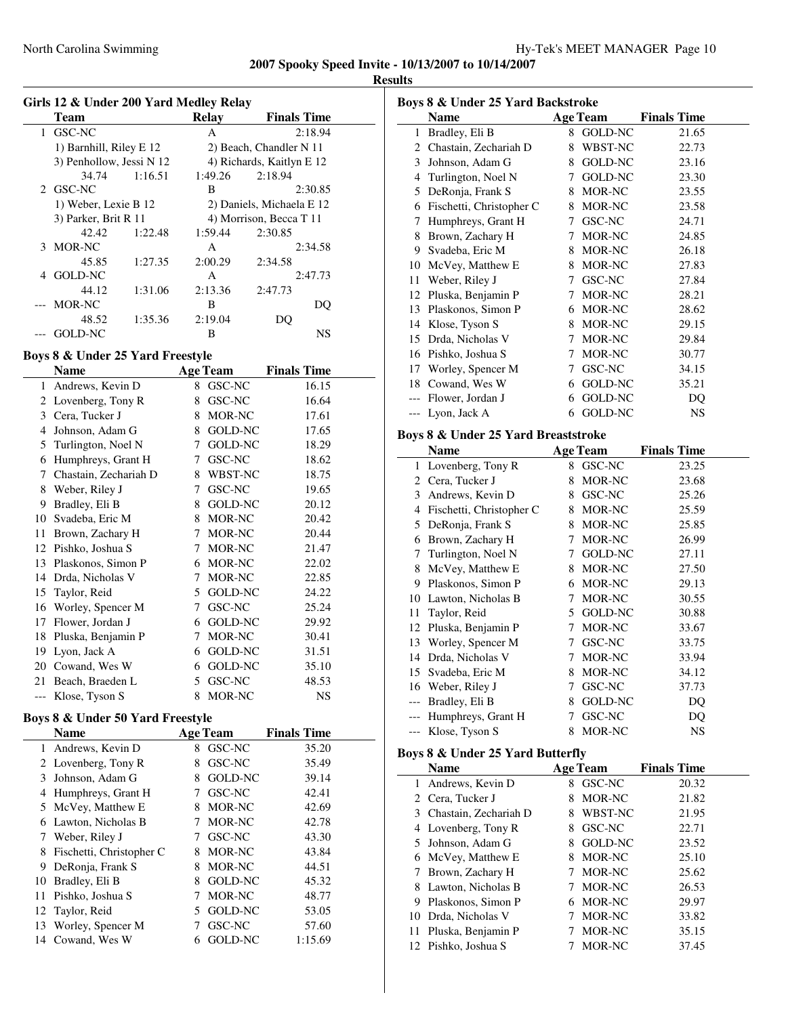|   | <b>Team</b>              |         | Relay   | <b>Finals Time</b>        |  |
|---|--------------------------|---------|---------|---------------------------|--|
| 1 | GSC-NC                   |         | A       | 2:18.94                   |  |
|   | 1) Barnhill, Riley E 12  |         |         | 2) Beach, Chandler N 11   |  |
|   | 3) Penhollow, Jessi N 12 |         |         | 4) Richards, Kaitlyn E 12 |  |
|   | 34.74                    | 1:16.51 | 1:49.26 | 2:18.94                   |  |
|   | 2 GSC-NC                 |         | B       | 2:30.85                   |  |
|   | 1) Weber, Lexie B 12     |         |         | 2) Daniels, Michaela E 12 |  |
|   | 3) Parker, Brit R 11     |         |         | 4) Morrison, Becca T 11   |  |
|   | 42.42                    | 1:22.48 | 1:59.44 | 2:30.85                   |  |
|   | 3 MOR-NC                 |         | A       | 2:34.58                   |  |
|   | 45.85                    | 1:27.35 | 2:00.29 | 2:34.58                   |  |
| 4 | GOLD-NC                  |         | A       | 2:47.73                   |  |
|   | 44.12                    | 1:31.06 | 2:13.36 | 2:47.73                   |  |
|   | --- MOR-NC               |         | B       | DO                        |  |
|   | 48.52                    | 1:35.36 | 2:19.04 | DO                        |  |
|   | GOLD-NC                  |         | B       | NS                        |  |

# **Boys 8 & Under 25 Yard Freestyle**

|     | Name                  |   | <b>Age Team</b> | <b>Finals Time</b> |
|-----|-----------------------|---|-----------------|--------------------|
| 1   | Andrews, Kevin D      | 8 | GSC-NC          | 16.15              |
| 2   | Lovenberg, Tony R     | 8 | GSC-NC          | 16.64              |
| 3   | Cera, Tucker J        | 8 | MOR-NC          | 17.61              |
| 4   | Johnson, Adam G       | 8 | <b>GOLD-NC</b>  | 17.65              |
| 5   | Turlington, Noel N    | 7 | <b>GOLD-NC</b>  | 18.29              |
| 6   | Humphreys, Grant H    | 7 | GSC-NC          | 18.62              |
| 7   | Chastain, Zechariah D | 8 | WBST-NC         | 18.75              |
| 8   | Weber, Riley J        | 7 | GSC-NC          | 19.65              |
| 9   | Bradley, Eli B        | 8 | <b>GOLD-NC</b>  | 20.12              |
| 10  | Svadeba, Eric M       | 8 | MOR-NC          | 20.42              |
| 11  | Brown, Zachary H      | 7 | MOR-NC          | 20.44              |
| 12  | Pishko, Joshua S      | 7 | MOR-NC          | 21.47              |
| 13  | Plaskonos, Simon P    | 6 | MOR-NC          | 22.02              |
| 14  | Drda, Nicholas V      | 7 | MOR-NC          | 22.85              |
| 15  | Taylor, Reid          | 5 | <b>GOLD-NC</b>  | 24.22              |
| 16  | Worley, Spencer M     | 7 | GSC-NC          | 25.24              |
| 17  | Flower, Jordan J      | 6 | GOLD-NC         | 29.92              |
| 18  | Pluska, Benjamin P    | 7 | MOR-NC          | 30.41              |
| 19  | Lyon, Jack A          | 6 | <b>GOLD-NC</b>  | 31.51              |
| 20  | Cowand, Wes W         | 6 | <b>GOLD-NC</b>  | 35.10              |
| 21  | Beach, Braeden L      | 5 | GSC-NC          | 48.53              |
| --- | Klose, Tyson S        | 8 | MOR-NC          | <b>NS</b>          |

# **Boys 8 & Under 50 Yard Freestyle**

|    | Name                     |   | <b>Age Team</b> | <b>Finals Time</b> |
|----|--------------------------|---|-----------------|--------------------|
| 1  | Andrews, Kevin D         | 8 | GSC-NC          | 35.20              |
|    | 2 Lovenberg, Tony R      | 8 | GSC-NC          | 35.49              |
| 3  | Johnson, Adam G          | 8 | GOLD-NC         | 39.14              |
| 4  | Humphreys, Grant H       |   | GSC-NC          | 42.41              |
| 5  | McVey, Matthew E         | 8 | MOR-NC          | 42.69              |
| 6  | Lawton, Nicholas B       |   | MOR-NC          | 42.78              |
| 7  | Weber, Riley J           |   | GSC-NC          | 43.30              |
| 8  | Fischetti, Christopher C | 8 | MOR-NC          | 43.84              |
| 9  | DeRonja, Frank S         | 8 | MOR-NC          | 44.51              |
| 10 | Bradley, Eli B           | 8 | GOLD-NC         | 45.32              |
| 11 | Pishko, Joshua S         |   | MOR-NC          | 48.77              |
| 12 | Taylor, Reid             | 5 | GOLD-NC         | 53.05              |
| 13 | Worley, Spencer M        |   | GSC-NC          | 57.60              |
|    | 14 Cowand, Wes W         |   | <b>GOLD-NC</b>  | 1:15.69            |

| Boys 8 & Under 25 Yard Backstroke |                          |   |                 |                    |  |  |
|-----------------------------------|--------------------------|---|-----------------|--------------------|--|--|
|                                   | <b>Name</b>              |   | <b>Age Team</b> | <b>Finals Time</b> |  |  |
| 1                                 | Bradley, Eli B           | 8 | GOLD-NC         | 21.65              |  |  |
| 2                                 | Chastain, Zechariah D    | 8 | WBST-NC         | 22.73              |  |  |
| 3                                 | Johnson, Adam G          | 8 | GOLD-NC         | 23.16              |  |  |
| 4                                 | Turlington, Noel N       | 7 | <b>GOLD-NC</b>  | 23.30              |  |  |
| 5                                 | DeRonja, Frank S         | 8 | MOR-NC          | 23.55              |  |  |
| 6                                 | Fischetti, Christopher C | 8 | MOR-NC          | 23.58              |  |  |
| 7                                 | Humphreys, Grant H       | 7 | GSC-NC          | 24.71              |  |  |
| 8                                 | Brown, Zachary H         | 7 | MOR-NC          | 24.85              |  |  |
| 9                                 | Svadeba, Eric M          | 8 | MOR-NC          | 26.18              |  |  |
| 10                                | McVey, Matthew E.        | 8 | MOR-NC          | 27.83              |  |  |
| 11                                | Weber, Riley J           | 7 | GSC-NC          | 27.84              |  |  |
| 12                                | Pluska, Benjamin P       | 7 | MOR-NC          | 28.21              |  |  |
| 13                                | Plaskonos, Simon P       | 6 | MOR-NC          | 28.62              |  |  |
| 14                                | Klose, Tyson S           | 8 | MOR-NC          | 29.15              |  |  |
| 15                                | Drda, Nicholas V         | 7 | MOR-NC          | 29.84              |  |  |
| 16                                | Pishko, Joshua S         | 7 | MOR-NC          | 30.77              |  |  |
| 17                                | Worley, Spencer M        | 7 | GSC-NC          | 34.15              |  |  |
| 18                                | Cowand, Wes W            | 6 | <b>GOLD-NC</b>  | 35.21              |  |  |
|                                   | Flower, Jordan J         | 6 | GOLD-NC         | DQ                 |  |  |
| ---                               | Lyon, Jack A             | 6 | <b>GOLD-NC</b>  | <b>NS</b>          |  |  |

# **Boys 8 & Under 25 Yard Breaststroke**

|       | <b>Name</b>                                 | <b>Age Team</b>     | <b>Finals Time</b>           |
|-------|---------------------------------------------|---------------------|------------------------------|
| 1     | Lovenberg, Tony R                           | GSC-NC<br>8         | 23.25                        |
| 2     | Cera, Tucker J                              | MOR-NC<br>8         | 23.68                        |
| 3     | Andrews, Kevin D                            | GSC-NC<br>8         | 25.26                        |
| 4     | Fischetti, Christopher C                    | MOR-NC<br>8         | 25.59                        |
| 5     | DeRonja, Frank S                            | MOR-NC<br>8         | 25.85                        |
| 6     | Brown, Zachary H                            | MOR-NC<br>7         | 26.99                        |
| 7     | Turlington, Noel N                          | <b>GOLD-NC</b><br>7 | 27.11                        |
| 8     | McVey, Matthew E                            | MOR-NC<br>8         | 27.50                        |
| 9     | Plaskonos, Simon P                          | MOR-NC<br>6         | 29.13                        |
| 10    | Lawton, Nicholas B                          | MOR-NC<br>7         | 30.55                        |
| 11    | Taylor, Reid                                | <b>GOLD-NC</b><br>5 | 30.88                        |
| 12    | Pluska, Benjamin P                          | MOR-NC<br>7         | 33.67                        |
| 13    | Worley, Spencer M                           | GSC-NC<br>7         | 33.75                        |
| 14    | Drda, Nicholas V                            | MOR-NC<br>7         | 33.94                        |
| 15    | Svadeba, Eric M                             | MOR-NC<br>8         | 34.12                        |
| 16    | Weber, Riley J                              | <b>GSC-NC</b><br>7  | 37.73                        |
| $---$ | Bradley, Eli B                              | <b>GOLD-NC</b><br>8 | DO                           |
|       | Humphreys, Grant H                          | GSC-NC<br>7         | DQ                           |
|       | Klose, Tyson S                              | MOR-NC<br>8         | NS.                          |
|       | <b>Boys 8 &amp; Under 25 Yard Butterfly</b> |                     |                              |
|       | <b>Name</b>                                 | <b>Age Team</b>     | <b>Finals Time</b>           |
| 1     | Andrews, Kevin D                            | GSC-NC<br>8         | 20.32                        |
| 2     | Cera, Tucker J                              | MOR-NC<br>8         | 21.82                        |
| 3     | Chastain, Zechariah D                       | WBST-NC<br>8        | 21.95                        |
|       | 11 m n                                      | 0.000M              | $\bigcap \overline{\bigcap}$ |

|                       |           | ----  |
|-----------------------|-----------|-------|
| 4 Lovenberg, Tony R   | 8 GSC-NC  | 22.71 |
| 5 Johnson, Adam G     | 8 GOLD-NC | 23.52 |
| 6 McVey, Matthew E    | 8 MOR-NC  | 25.10 |
| 7 Brown, Zachary H    | 7 MOR-NC  | 25.62 |
| 8 Lawton, Nicholas B  | 7 MOR-NC  | 26.53 |
| 9 Plaskonos, Simon P  | 6 MOR-NC  | 29.97 |
| 10 Drda, Nicholas V   | 7 MOR-NC  | 33.82 |
| 11 Pluska, Benjamin P | 7 MOR-NC  | 35.15 |
| 12 Pishko, Joshua S   | MOR-NC    | 37.45 |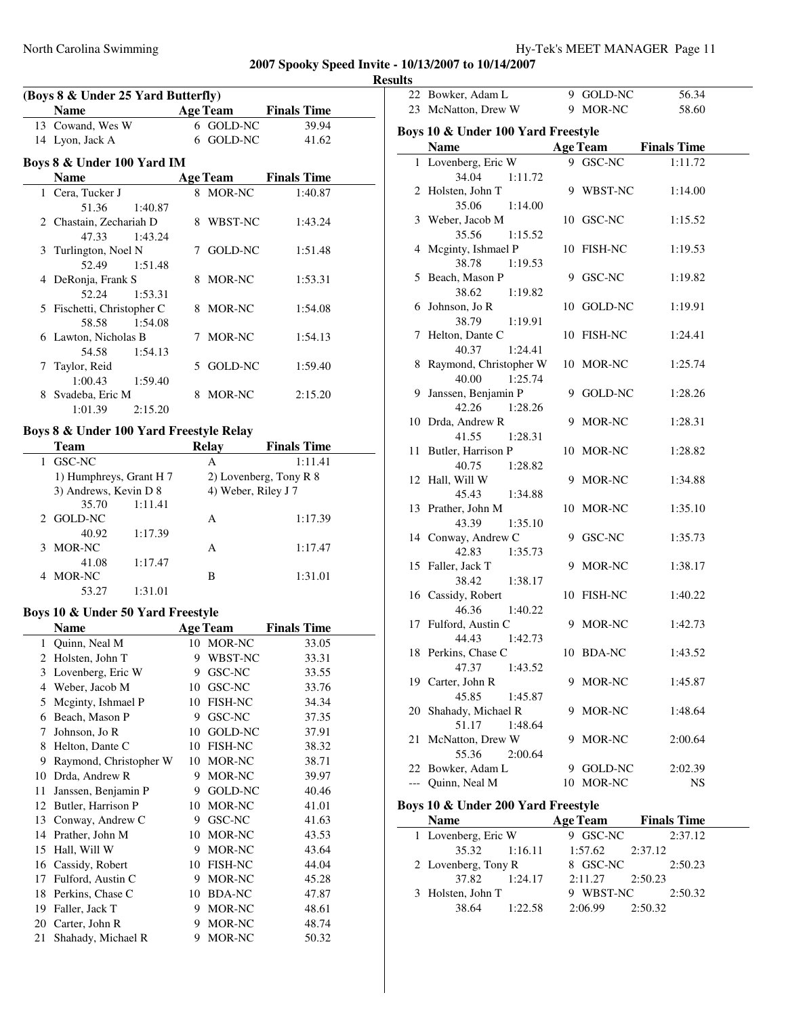| (Boys 8 & Under 25 Yard Butterfly) |         |  |                 |                    |  |
|------------------------------------|---------|--|-----------------|--------------------|--|
| <b>Name</b>                        |         |  | <b>Age Team</b> | <b>Finals Time</b> |  |
| 13 Cowand, Wes W                   |         |  | 6 GOLD-NC       | 39.94              |  |
| 14 Lyon, Jack A                    |         |  | 6 GOLD-NC       | 41.62              |  |
| Boys 8 & Under 100 Yard IM         |         |  |                 |                    |  |
| <b>Name</b>                        |         |  | <b>Age Team</b> | <b>Finals Time</b> |  |
| 1 Cera, Tucker J                   |         |  | 8 MOR-NC        | 1:40.87            |  |
| 51.36                              | 1:40.87 |  |                 |                    |  |
| 2 Chastain, Zechariah D            |         |  | 8 WBST-NC       | 1:43.24            |  |
| 47.33                              | 1:43.24 |  |                 |                    |  |
| 3 Turlington, Noel N               |         |  | 7 GOLD-NC       | 1:51.48            |  |
| 52.49                              | 1:51.48 |  |                 |                    |  |
| 4 DeRonja, Frank S                 |         |  | 8 MOR-NC        | 1:53.31            |  |
| 52.24                              | 1:53.31 |  |                 |                    |  |
| 5 Fischetti, Christopher C         |         |  | 8 MOR-NC        | 1:54.08            |  |
| 58.58                              | 1:54.08 |  |                 |                    |  |
| 6 Lawton, Nicholas B               |         |  | 7 MOR-NC        | 1:54.13            |  |
| 54.58                              | 1:54.13 |  |                 |                    |  |
| 7 Taylor, Reid                     |         |  | 5 GOLD-NC       | 1:59.40            |  |
| 1:00.43                            | 1:59.40 |  |                 |                    |  |
| 8 Svadeba, Eric M                  |         |  | 8 MOR-NC        | 2:15.20            |  |
| 1:01.39                            | 2:15.20 |  |                 |                    |  |
| D.  0.0. T J 400 V.  J. E D. J. .  |         |  |                 |                    |  |

#### **Boys 8 & Under 100 Yard Freestyle Relay**

| Team                    |         | <b>Relay</b> | <b>Finals Time</b>     |
|-------------------------|---------|--------------|------------------------|
| GSC-NC                  |         | A            | 1:11.41                |
| 1) Humphreys, Grant H 7 |         |              | 2) Lovenberg, Tony R 8 |
| 3) Andrews, Kevin D 8   |         |              | 4) Weber, Riley J 7    |
| 35.70                   | 1:11.41 |              |                        |
| 2 GOLD-NC               |         | A            | 1:17.39                |
| 40.92                   | 1:17.39 |              |                        |
| MOR-NC<br>3             |         | A            | 1:17.47                |
| 41.08                   | 1:17.47 |              |                        |
| MOR-NC                  |         | В            | 1:31.01                |
| 53.27                   | 1:31.01 |              |                        |

### **Boys 10 & Under 50 Yard Freestyle**

 $\overline{\phantom{a}}$ 

|    | Name                   |    | <b>Age Team</b> | <b>Finals Time</b> |
|----|------------------------|----|-----------------|--------------------|
| 1  | Quinn, Neal M          |    | 10 MOR-NC       | 33.05              |
| 2  | Holsten, John T        | 9  | WBST-NC         | 33.31              |
| 3  | Lovenberg, Eric W      | 9  | GSC-NC          | 33.55              |
| 4  | Weber, Jacob M         | 10 | GSC-NC          | 33.76              |
| 5  | Meginty, Ishmael P     | 10 | <b>FISH-NC</b>  | 34.34              |
| 6  | Beach, Mason P         | 9  | GSC-NC          | 37.35              |
| 7  | Johnson, Jo R          | 10 | <b>GOLD-NC</b>  | 37.91              |
| 8  | Helton, Dante C        | 10 | <b>FISH-NC</b>  | 38.32              |
| 9  | Raymond, Christopher W | 10 | MOR-NC          | 38.71              |
| 10 | Drda, Andrew R         | 9  | MOR-NC          | 39.97              |
| 11 | Janssen, Benjamin P    | 9  | GOLD-NC         | 40.46              |
| 12 | Butler, Harrison P     | 10 | MOR-NC          | 41.01              |
| 13 | Conway, Andrew C       | 9  | GSC-NC          | 41.63              |
| 14 | Prather, John M        | 10 | MOR-NC          | 43.53              |
| 15 | Hall, Will W           | 9  | MOR-NC          | 43.64              |
| 16 | Cassidy, Robert        | 10 | FISH-NC         | 44.04              |
| 17 | Fulford, Austin C      | 9  | MOR-NC          | 45.28              |
| 18 | Perkins, Chase C       | 10 | <b>BDA-NC</b>   | 47.87              |
| 19 | Faller, Jack T         | 9  | MOR-NC          | 48.61              |
| 20 | Carter, John R         | 9  | MOR-NC          | 48.74              |
| 21 | Shahady, Michael R     | 9  | MOR-NC          | 50.32              |

| 22 Bowker, Adam L                  | 9 GOLD-NC       | 56.34              |  |
|------------------------------------|-----------------|--------------------|--|
| 23 McNatton, Drew W                | 9 MOR-NC        | 58.60              |  |
|                                    |                 |                    |  |
| Boys 10 & Under 100 Yard Freestyle |                 |                    |  |
| <b>Name</b>                        | <b>Age Team</b> | <b>Finals Time</b> |  |
| 1 Lovenberg, Eric W                | 9 GSC-NC        | 1:11.72            |  |
| 34.04<br>1:11.72                   |                 |                    |  |
| 2 Holsten, John T                  | 9 WBST-NC       | 1:14.00            |  |
| 35.06<br>1:14.00                   |                 |                    |  |
| 3 Weber, Jacob M                   | 10 GSC-NC       | 1:15.52            |  |
| 35.56<br>1:15.52                   |                 |                    |  |
| 4 Mcginty, Ishmael P               | 10 FISH-NC      | 1:19.53            |  |
| 38.78<br>1:19.53                   |                 |                    |  |
| 5 Beach, Mason P                   | 9 GSC-NC        | 1:19.82            |  |
| 38.62<br>1:19.82                   |                 |                    |  |
| 6 Johnson, Jo R                    | 10 GOLD-NC      | 1:19.91            |  |
| 1:19.91<br>38.79                   |                 |                    |  |
| 7 Helton, Dante C                  | 10 FISH-NC      | 1:24.41            |  |
| 40.37<br>1:24.41                   |                 |                    |  |
| 8 Raymond, Christopher W           | 10 MOR-NC       | 1:25.74            |  |
| 40.00<br>1:25.74                   |                 |                    |  |
| 9 Janssen, Benjamin P              | 9 GOLD-NC       | 1:28.26            |  |
| 42.26<br>1:28.26                   | 9 MOR-NC        |                    |  |
| 10 Drda, Andrew R<br>41.55         |                 | 1:28.31            |  |
| 1:28.31<br>11 Butler, Harrison P   | 10 MOR-NC       | 1:28.82            |  |
| 40.75<br>1:28.82                   |                 |                    |  |
| 12 Hall, Will W                    | 9 MOR-NC        | 1:34.88            |  |
| 45.43<br>1:34.88                   |                 |                    |  |
| 13 Prather, John M                 | 10 MOR-NC       | 1:35.10            |  |
| 43.39<br>1:35.10                   |                 |                    |  |
| 14 Conway, Andrew C                | 9 GSC-NC        | 1:35.73            |  |
| 42.83<br>1:35.73                   |                 |                    |  |
| 15 Faller, Jack T                  | 9 MOR-NC        | 1:38.17            |  |
| 38.42<br>1:38.17                   |                 |                    |  |
| 16 Cassidy, Robert                 | 10 FISH-NC      | 1:40.22            |  |
| 46.36<br>1:40.22                   |                 |                    |  |
| 17 Fulford, Austin C               | 9 MOR-NC        | 1:42.73            |  |
| 1:42.73<br>44.43                   |                 |                    |  |
| 18 Perkins, Chase C                | 10 BDA-NC       | 1:43.52            |  |
| 47.37<br>1:43.52                   |                 |                    |  |
| 19 Carter, John R                  | 9 MOR-NC        | 1:45.87            |  |
| 45.85<br>1:45.87                   |                 |                    |  |
| 20 Shahady, Michael R              | 9 MOR-NC        | 1:48.64            |  |
| 51.17<br>1:48.64                   |                 |                    |  |
| 21 McNatton, Drew W                | 9 MOR-NC        | 2:00.64            |  |
| 55.36<br>2:00.64                   |                 |                    |  |
| 22 Bowker, Adam L                  | 9 GOLD-NC       | 2:02.39            |  |
| --- Quinn, Neal M                  | 10 MOR-NC       | NS                 |  |
| Boys 10 & Under 200 Yard Freestyle |                 |                    |  |
| <b>Name</b>                        | <b>Age Team</b> | <b>Finals Time</b> |  |
| 1 Lovenberg, Eric W                | 9 GSC-NC        | 2:37.12            |  |
| 35.32<br>1:16.11                   | 1:57.62         | 2:37.12            |  |
| 2 Lovenberg, Tony R                | 8 GSC-NC        | 2:50.23            |  |
| 37.82<br>1:24.17                   | 2:11.27         | 2:50.23            |  |
| 3 Holsten, John T                  | 9 WBST-NC       | 2:50.32            |  |
| 38.64<br>1:22.58                   | 2:06.99         | 2:50.32            |  |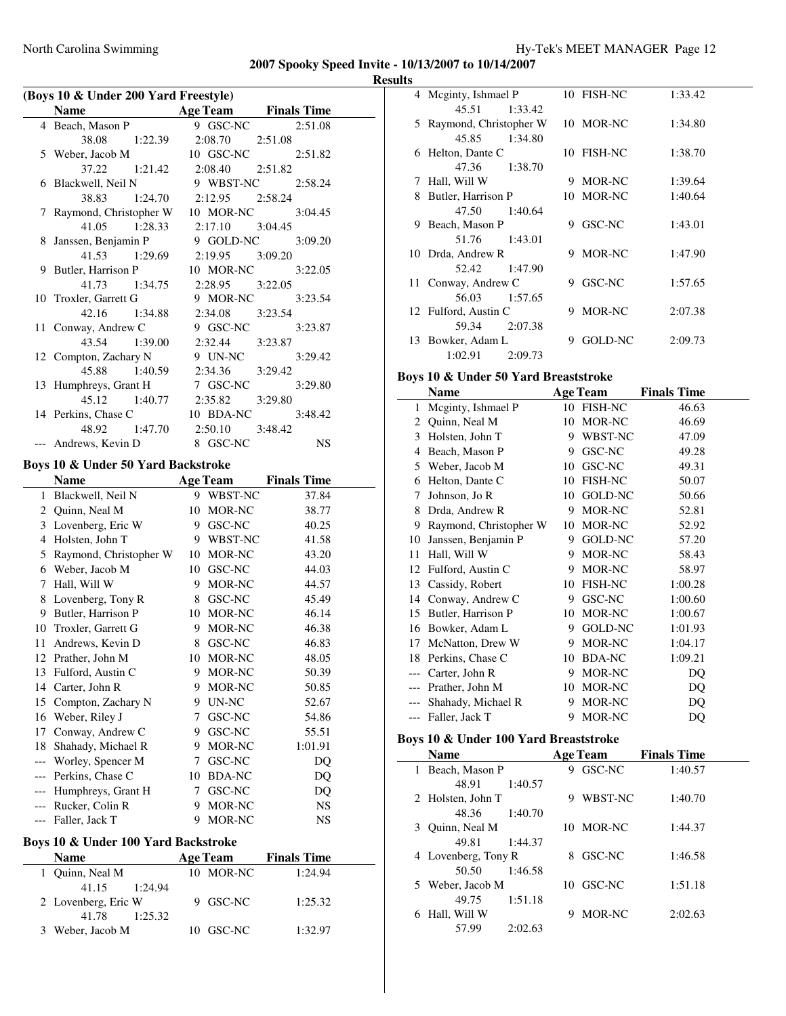#### **Results**

| (Boys 10 & Under 200 Yard Freestyle) |                                           |                            |                    |  |
|--------------------------------------|-------------------------------------------|----------------------------|--------------------|--|
|                                      | <b>Name</b>                               | <b>Age Team</b>            | <b>Finals Time</b> |  |
| 4                                    | Beach, Mason P                            | 9 GSC-NC                   | 2:51.08            |  |
|                                      | 38.08<br>1:22.39                          | 2:08.70                    | 2:51.08            |  |
| 5                                    | Weber, Jacob M                            | 10 GSC-NC                  | 2:51.82            |  |
|                                      | 37.22<br>1:21.42                          | 2:08.40                    | 2:51.82            |  |
| 6                                    | Blackwell, Neil N                         | 9 WBST-NC                  | 2:58.24            |  |
|                                      | 38.83<br>1:24.70                          | 2:12.95                    | 2:58.24            |  |
| 7                                    | Raymond, Christopher W                    | 10 MOR-NC                  | 3:04.45            |  |
|                                      | 41.05<br>1:28.33                          | 2:17.10                    | 3:04.45            |  |
| 8                                    | Janssen, Benjamin P                       | 9 GOLD-NC                  | 3:09.20            |  |
|                                      | 41.53<br>1:29.69                          | 2:19.95                    | 3:09.20            |  |
| 9                                    | Butler, Harrison P                        | 10 MOR-NC                  | 3:22.05            |  |
|                                      | 41.73<br>1:34.75                          | 2:28.95                    | 3:22.05            |  |
| 10                                   | Troxler, Garrett G                        | 9 MOR-NC                   | 3:23.54            |  |
|                                      | 42.16<br>1:34.88                          | 2:34.08                    | 3:23.54            |  |
| 11                                   | Conway, Andrew C                          | 9 GSC-NC                   | 3:23.87            |  |
|                                      | 43.54<br>1:39.00                          | 2:32.44                    | 3:23.87            |  |
| 12                                   | Compton, Zachary N                        | 9 UN-NC                    | 3:29.42            |  |
|                                      | 45.88<br>1:40.59                          | 2:34.36                    | 3:29.42            |  |
| 13                                   | Humphreys, Grant H                        | 7 GSC-NC                   | 3:29.80            |  |
|                                      | 45.12<br>1:40.77                          | 2:35.82                    | 3:29.80            |  |
|                                      | 14 Perkins, Chase C                       | 10 BDA-NC                  | 3:48.42            |  |
|                                      | 48.92<br>1:47.70                          | 2:50.10                    | 3:48.42            |  |
| $---$                                | Andrews, Kevin D                          | 8 GSC-NC                   | NS                 |  |
|                                      | Boys 10 & Under 50 Yard Backstroke        |                            |                    |  |
|                                      | Name                                      | <b>Age Team</b>            | <b>Finals Time</b> |  |
| 1                                    | Blackwell, Neil N                         | WBST-NC<br>9.              | 37.84              |  |
|                                      | 2 Quinn, Neal M                           | 10 MOR-NC                  | 38.77              |  |
|                                      | 3 Lovenberg, Eric W                       | 9 GSC-NC                   | 40.25              |  |
| $\overline{4}$                       | Holsten, John T                           | 9 WBST-NC                  | 41.58              |  |
| 5                                    | Raymond, Christopher W                    | 10 MOR-NC                  | 43.20              |  |
|                                      |                                           |                            |                    |  |
| 7                                    | 6 Weber, Jacob M<br>Hall, Will W          | 10 GSC-NC<br>9 MOR-NC      | 44.03<br>44.57     |  |
| 8                                    | Lovenberg, Tony R                         | 8 GSC-NC                   | 45.49              |  |
| 9                                    | Butler, Harrison P                        | 10 MOR-NC                  | 46.14              |  |
|                                      |                                           | 9 MOR-NC                   |                    |  |
| 11                                   | 10 Troxler, Garrett G<br>Andrews, Kevin D | 8 GSC-NC                   | 46.38<br>46.83     |  |
| 12                                   | Prather, John M                           | 10 MOR-NC                  |                    |  |
|                                      |                                           |                            | 48.05              |  |
| 13<br>14                             | Fulford, Austin C                         | MOR-NC<br>9                | 50.39              |  |
|                                      | Carter, John R                            | 9<br>MOR-NC                | 50.85              |  |
| 15                                   | Compton, Zachary N                        | 9.<br>UN-NC                | 52.67              |  |
| 16                                   | Weber, Riley J                            | 7<br>GSC-NC                | 54.86              |  |
| 17                                   | Conway, Andrew C                          | 9.<br>GSC-NC               | 55.51              |  |
| 18                                   | Shahady, Michael R                        | 9<br>MOR-NC                | 1:01.91            |  |
| ---                                  |                                           |                            |                    |  |
|                                      | Worley, Spencer M                         | 7<br>GSC-NC                | DQ                 |  |
| $---$                                | Perkins, Chase C                          | <b>BDA-NC</b><br>10        | DQ                 |  |
| $---$<br>$---$                       | Humphreys, Grant H<br>Rucker, Colin R     | GSC-NC<br>7<br>MOR-NC<br>9 | DQ<br><b>NS</b>    |  |

# --- Faller, Jack T 9 MOR-NC NS **Boys 10 & Under 100 Yard Backstroke**

| over to be chuck for faru backed one |         |  |                 |                    |         |  |
|--------------------------------------|---------|--|-----------------|--------------------|---------|--|
| <b>Name</b>                          |         |  | <b>Age Team</b> | <b>Finals Time</b> |         |  |
| 1 Quinn, Neal M                      |         |  | 10 MOR-NC       |                    | 1:24.94 |  |
| 41.15                                | 1:24.94 |  |                 |                    |         |  |
| 2 Lovenberg, Eric W                  |         |  | 9 GSC-NC        |                    | 1:25.32 |  |
| 41.78                                | 1:25.32 |  |                 |                    |         |  |
| 3 Weber, Jacob M                     |         |  | 10 GSC-NC       |                    | 1:32.97 |  |
|                                      |         |  |                 |                    |         |  |

|     | 4 Meginty, Ishmael P   | 10 FISH-NC   | 1:33.42 |  |
|-----|------------------------|--------------|---------|--|
|     | 45.51<br>1:33.42       |              |         |  |
| 5   | Raymond, Christopher W | 10 MOR-NC    | 1:34.80 |  |
|     | 45.85<br>1:34.80       |              |         |  |
| 6   | Helton, Dante C        | 10 FISH-NC   | 1:38.70 |  |
|     | 47.36<br>1:38.70       |              |         |  |
| 7   | Hall, Will W           | MOR-NC<br>9  | 1:39.64 |  |
| 8   | Butler, Harrison P     | 10 MOR-NC    | 1:40.64 |  |
|     | 1:40.64<br>47.50       |              |         |  |
| 9   | Beach, Mason P         | GSC-NC<br>9  | 1:43.01 |  |
|     | 1:43.01<br>51.76       |              |         |  |
|     | 10 Drda, Andrew R      | MOR-NC<br>9  | 1:47.90 |  |
|     | 52.42<br>1:47.90       |              |         |  |
| 11- | Conway, Andrew C       | GSC-NC<br>9. | 1:57.65 |  |
|     | 1:57.65<br>56.03       |              |         |  |
|     | 12 Fulford, Austin C   | MOR-NC<br>9  | 2:07.38 |  |
|     | 2:07.38<br>59.34       |              |         |  |
|     | 13 Bowker, Adam L      | GOLD-NC<br>9 | 2:09.73 |  |
|     | 2:09.73<br>1:02.91     |              |         |  |

# **Boys 10 & Under 50 Yard Breaststroke**

|    | Name                   |    | <b>Age Team</b> | <b>Finals Time</b> |
|----|------------------------|----|-----------------|--------------------|
| 1  | Meginty, Ishmael P     | 10 | <b>FISH-NC</b>  | 46.63              |
| 2  | Quinn, Neal M          | 10 | MOR-NC          | 46.69              |
| 3  | Holsten, John T        | 9  | WBST-NC         | 47.09              |
| 4  | Beach, Mason P         | 9  | GSC-NC          | 49.28              |
| 5  | Weber, Jacob M         | 10 | GSC-NC          | 49.31              |
| 6  | Helton, Dante C        | 10 | <b>FISH-NC</b>  | 50.07              |
| 7  | Johnson, Jo R          | 10 | <b>GOLD-NC</b>  | 50.66              |
| 8  | Drda, Andrew R         | 9  | MOR-NC          | 52.81              |
| 9  | Raymond, Christopher W | 10 | MOR-NC          | 52.92              |
| 10 | Janssen, Benjamin P    | 9  | GOLD-NC         | 57.20              |
| 11 | Hall, Will W           | 9  | MOR-NC          | 58.43              |
| 12 | Fulford, Austin C      | 9  | MOR-NC          | 58.97              |
| 13 | Cassidy, Robert        | 10 | <b>FISH-NC</b>  | 1:00.28            |
| 14 | Conway, Andrew C       | 9  | GSC-NC          | 1:00.60            |
| 15 | Butler, Harrison P     | 10 | MOR-NC          | 1:00.67            |
| 16 | Bowker, Adam L         | 9  | <b>GOLD-NC</b>  | 1:01.93            |
| 17 | McNatton, Drew W       | 9  | MOR-NC          | 1:04.17            |
| 18 | Perkins, Chase C       | 10 | <b>BDA-NC</b>   | 1:09.21            |
|    | Carter, John R         | 9  | MOR-NC          | DQ                 |
|    | Prather, John M        | 10 | MOR-NC          | DQ                 |
|    | Shahady, Michael R     | 9  | MOR-NC          | DQ                 |
|    | Faller, Jack T         | 9  | MOR-NC          | DQ                 |

# **Boys 10 & Under 100 Yard Breaststroke**

| <b>Name</b>          | <b>Age Team</b> | <b>Finals Time</b> |
|----------------------|-----------------|--------------------|
| Beach, Mason P<br>1. | GSC-NC<br>9     | 1:40.57            |
| 1:40.57<br>48.91     |                 |                    |
| 2 Holsten, John T    | WBST-NC         | 1:40.70            |
| 48.36<br>1:40.70     |                 |                    |
| 3 Quinn, Neal M      | 10 MOR-NC       | 1:44.37            |
| 49.81<br>1:44.37     |                 |                    |
| 4 Lovenberg, Tony R  | GSC-NC<br>8     | 1:46.58            |
| 1:46.58<br>50.50     |                 |                    |
| 5 Weber, Jacob M     | 10 GSC-NC       | 1:51.18            |
| 49.75<br>1:51.18     |                 |                    |
| Hall, Will W<br>6    | MOR-NC          | 2:02.63            |
| 2:02.63<br>57.99     |                 |                    |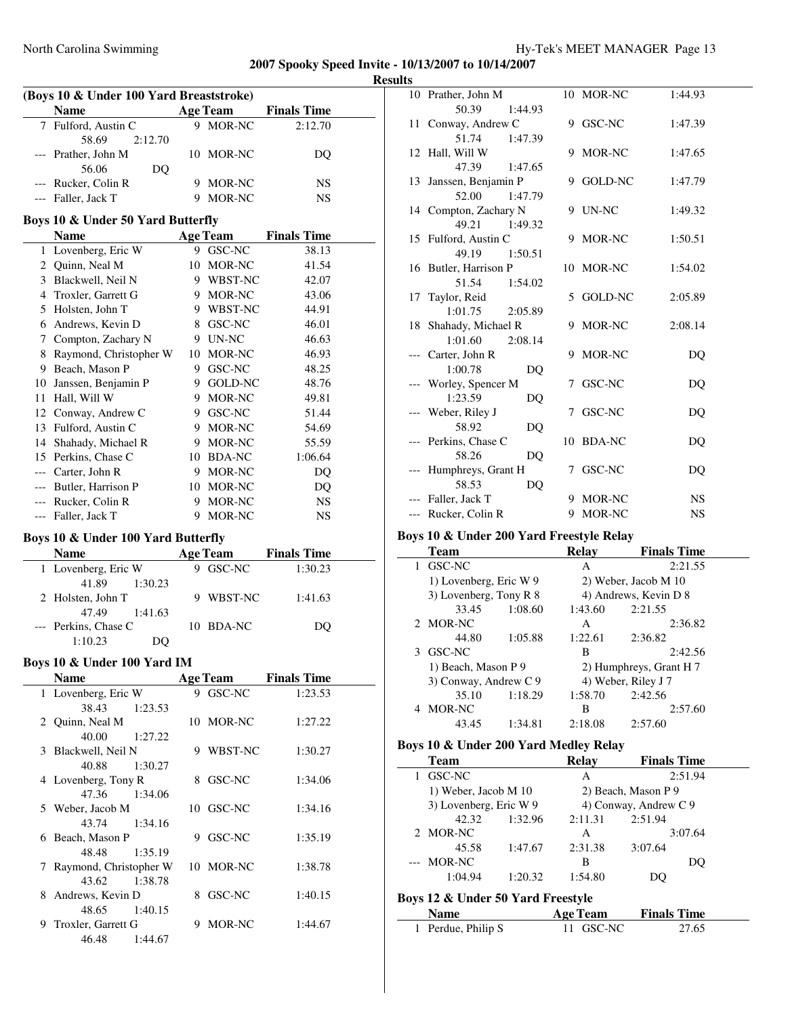$\overline{\phantom{0}}$ 

|   | (Boys 10 & Under 100 Yard Breaststroke) |   |                 |                             |  |
|---|-----------------------------------------|---|-----------------|-----------------------------|--|
|   | Name                                    |   | <b>Age Team</b> | <b>Finals Time</b>          |  |
| 7 | Fulford, Austin C                       |   | 9 MOR-NC        | 2:12.70                     |  |
|   | 58.69<br>2:12.70                        |   |                 |                             |  |
|   | --- Prather, John M                     |   | 10 MOR-NC       | DQ                          |  |
|   | 56.06<br>D <sub>O</sub>                 |   |                 |                             |  |
|   | --- Rucker, Colin R                     |   | 9 MOR-NC        | NS                          |  |
|   | --- Faller, Jack T                      | 9 | MOR-NC          | NS                          |  |
|   |                                         |   |                 |                             |  |
|   | Boys 10 & Under 50 Yard Butterfly       |   |                 |                             |  |
|   | Name                                    |   | <b>Age Team</b> | <b>Finals Time</b>          |  |
| 1 | Lovenberg, Eric W                       |   | 9 GSC-NC        | 38.13                       |  |
|   | 2 Quinn, Neal M                         |   | 10 MOR-NC       | 41.54                       |  |
|   | 3 Blackwell, Neil N                     |   | 9 WBST-NC       | 42.07                       |  |
|   | 4 Troxler, Garrett G                    |   | 9 MOR-NC        | 43.06                       |  |
|   | 5 Holsten, John T                       |   | 9 WBST-NC       | 44.91                       |  |
|   | 6 Andrews, Kevin D                      |   | 8 GSC-NC        | 46.01                       |  |
|   | 7 Compton, Zachary N                    |   | 9 UN-NC         | 46.63                       |  |
|   | 8 Raymond, Christopher W                |   | 10 MOR-NC       | 46.93                       |  |
|   | 9 Beach, Mason P                        |   | 9 GSC-NC        | 48.25                       |  |
|   | 10 Janssen, Benjamin P                  |   | 9 GOLD-NC       | 48.76                       |  |
|   | 11 Hall, Will W                         |   | 9 MOR-NC        | 49.81                       |  |
|   | 12 Conway, Andrew C                     |   | 9 GSC-NC        | 51.44                       |  |
|   | 13 Fulford, Austin C                    |   | 9 MOR-NC        | 54.69                       |  |
|   | 14 Shahady, Michael R                   |   | 9 MOR-NC        | 55.59                       |  |
|   | 15 Perkins, Chase C                     |   | 10 BDA-NC       | 1:06.64                     |  |
|   | --- Carter, John R                      |   | 9 MOR-NC        | DQ                          |  |
|   |                                         |   |                 |                             |  |
|   | --- Butler, Harrison P                  |   | 10 MOR-NC       | DQ                          |  |
|   | --- Rucker, Colin R                     |   | 9 MOR-NC        | NS                          |  |
|   | --- Faller, Jack T                      |   | 9 MOR-NC        | NS                          |  |
|   | Boys 10 & Under 100 Yard Butterfly      |   |                 |                             |  |
|   | <b>Name</b>                             |   | <b>Age Team</b> | <b>Finals Time</b>          |  |
|   | 1 Lovenberg, Eric W                     |   | 9 GSC-NC        | 1:30.23                     |  |
|   | 41.89<br>1:30.23                        |   |                 |                             |  |
|   | 2 Holsten, John T                       | 9 | WBST-NC         | 1:41.63                     |  |
|   | 47.49<br>1:41.63                        |   |                 |                             |  |
|   | --- Perkins, Chase C                    |   | 10 BDA-NC       | DQ                          |  |
|   | 1:10.23<br>DQ                           |   |                 |                             |  |
|   |                                         |   |                 |                             |  |
|   | Boys 10 & Under 100 Yard IM             |   |                 |                             |  |
|   | Name                                    |   |                 | <b>Age Team</b> Finals Time |  |
| 1 | Lovenberg, Eric W                       |   | 9 GSC-NC        | 1:23.53                     |  |
|   | 38.43<br>1:23.53                        |   |                 |                             |  |
|   | 2 Quinn, Neal M                         |   | 10 MOR-NC       | 1:27.22                     |  |
|   | 40.00<br>1:27.22                        |   |                 |                             |  |
| 3 | Blackwell, Neil N                       |   | 9 WBST-NC       | 1:30.27                     |  |
|   | 40.88<br>1:30.27                        |   |                 |                             |  |
|   | 4 Lovenberg, Tony R                     |   | 8 GSC-NC        | 1:34.06                     |  |
|   | 47.36<br>1:34.06                        |   |                 |                             |  |
|   | 5 Weber, Jacob M                        |   | 10 GSC-NC       | 1:34.16                     |  |
|   | 43.74<br>1:34.16                        |   |                 |                             |  |
|   | 6 Beach, Mason P                        |   | 9 GSC-NC        | 1:35.19                     |  |
|   | 48.48<br>1:35.19                        |   |                 |                             |  |
| 7 | Raymond, Christopher W                  |   | 10 MOR-NC       | 1:38.78                     |  |
|   | 43.62<br>1:38.78                        |   |                 |                             |  |
|   | 8 Andrews, Kevin D                      |   | 8 GSC-NC        | 1:40.15                     |  |
|   | 48.65<br>1:40.15                        |   |                 |                             |  |
|   | 9 Troxler, Garrett G                    |   | 9 MOR-NC        | 1:44.67                     |  |
|   | 46.48<br>1:44.67                        |   |                 |                             |  |
|   |                                         |   |                 |                             |  |

| <b>Results</b> |                        |   |               |           |
|----------------|------------------------|---|---------------|-----------|
|                | 10 Prather, John M     |   | 10 MOR-NC     | 1:44.93   |
|                | 50.39<br>1:44.93       |   |               |           |
|                | 11 Conway, Andrew C    |   | 9 GSC-NC      | 1:47.39   |
|                | 51.74<br>1:47.39       |   |               |           |
|                | 12 Hall, Will W        |   | 9 MOR-NC      | 1:47.65   |
|                | 47.39<br>1:47.65       |   |               |           |
|                | 13 Janssen, Benjamin P |   | 9 GOLD-NC     | 1:47.79   |
|                | 52.00<br>1:47.79       |   |               |           |
|                | 14 Compton, Zachary N  |   | 9 UN-NC       | 1:49.32   |
|                | 49.21<br>1:49.32       |   |               |           |
|                | 15 Fulford, Austin C   |   | 9 MOR-NC      | 1:50.51   |
|                | 49.19<br>1:50.51       |   |               |           |
|                | 16 Butler, Harrison P  |   | 10 MOR-NC     | 1:54.02   |
|                | 51.54<br>1:54.02       |   |               |           |
|                | 17 Taylor, Reid        |   | 5 GOLD-NC     | 2:05.89   |
|                | 1:01.75<br>2:05.89     |   |               |           |
|                | 18 Shahady, Michael R  |   | 9 MOR-NC      | 2:08.14   |
|                | 1:01.60<br>2:08.14     |   |               |           |
|                | --- Carter, John R     |   | 9 MOR-NC      | DQ        |
|                | 1:00.78<br>DO          |   |               |           |
|                | Worley, Spencer M      |   | 7 GSC-NC      | DQ        |
|                | 1:23.59<br>DQ          |   |               |           |
|                | --- Weber, Riley J     |   | 7 GSC-NC      | DQ        |
|                | 58.92<br>DQ            |   |               |           |
|                | --- Perkins, Chase C   |   | 10 BDA-NC     | DQ        |
|                | 58.26<br>DQ            |   |               |           |
|                | --- Humphreys, Grant H | 7 | <b>GSC-NC</b> | DQ        |
|                | 58.53<br>DQ            |   |               |           |
|                | --- Faller, Jack T     |   | 9 MOR-NC      | <b>NS</b> |
|                | --- Rucker, Colin R    |   | 9 MOR-NC      | <b>NS</b> |

#### **Boys 10 & Under 200 Yard Freestyle Relay**

|   | <b>Team</b>            |         | Relay   | <b>Finals Time</b>      |
|---|------------------------|---------|---------|-------------------------|
| 1 | GSC-NC                 |         | A       | 2:21.55                 |
|   | 1) Lovenberg, Eric W 9 |         |         | 2) Weber, Jacob M 10    |
|   | 3) Lovenberg, Tony R 8 |         |         | 4) Andrews, Kevin D 8   |
|   | 33.45                  | 1:08.60 | 1:43.60 | 2:21.55                 |
|   | 2 MOR-NC               |         | A       | 2:36.82                 |
|   | 44.80                  | 1:05.88 | 1:22.61 | 2:36.82                 |
|   | 3 GSC-NC               |         | В       | 2:42.56                 |
|   | 1) Beach, Mason P 9    |         |         | 2) Humphreys, Grant H 7 |
|   | 3) Conway, Andrew C 9  |         |         | 4) Weber, Riley J 7     |
|   | 35.10                  | 1:18.29 | 1:58.70 | 2:42.56                 |
|   | MOR-NC                 |         | В       | 2:57.60                 |
|   | 43.45                  | 1:34.81 | 2:18.08 | 2:57.60                 |
|   |                        |         |         |                         |

# **Boys 10 & Under 200 Yard Medley Relay**

| Team                   |         | <b>Relay</b> | <b>Finals Time</b>    |    |
|------------------------|---------|--------------|-----------------------|----|
| GSC-NC                 |         | A            | 2:51.94               |    |
| 1) Weber, Jacob M 10   |         |              | 2) Beach, Mason P 9   |    |
| 3) Lovenberg, Eric W 9 |         |              | 4) Conway, Andrew C 9 |    |
| 42.32                  | 1:32.96 | 2:11.31      | 2:51.94               |    |
| 2 MOR-NC               |         | A            | 3:07.64               |    |
| 45.58                  | 1:47.67 | 2:31.38      | 3:07.64               |    |
| --- MOR-NC             |         | в            |                       | DO |
| 1:04.94                | 1:20.32 | 1:54.80      | DO.                   |    |
|                        |         |              |                       |    |

## **Boys 12 & Under 50 Yard Freestyle**

| <b>Name</b>        | <b>Age Team</b> | <b>Finals Time</b> |
|--------------------|-----------------|--------------------|
| 1 Perdue, Philip S | 11 GSC-NC       | 27.65              |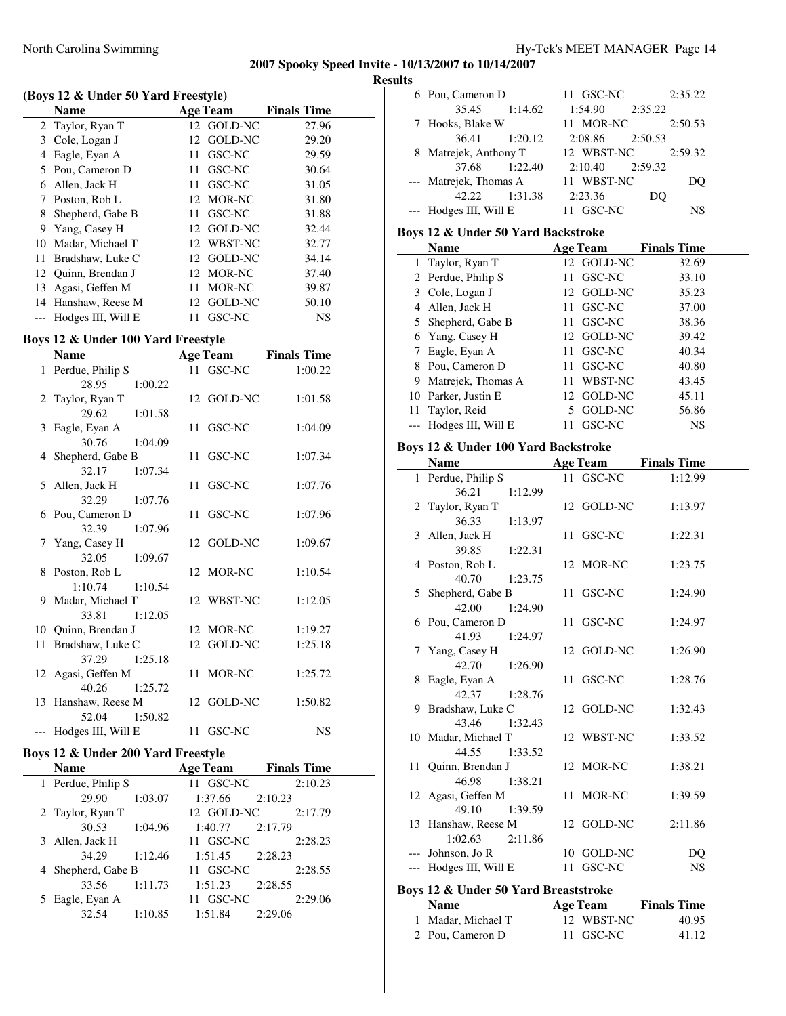**Results**

| (Boys 12 & Under 50 Yard Freestyle) |                     |     |                 |                    |  |  |  |
|-------------------------------------|---------------------|-----|-----------------|--------------------|--|--|--|
|                                     | <b>Name</b>         |     | <b>Age Team</b> | <b>Finals Time</b> |  |  |  |
|                                     | 2 Taylor, Ryan T    |     | 12 GOLD-NC      | 27.96              |  |  |  |
| 3                                   | Cole, Logan J       |     | 12 GOLD-NC      | 29.20              |  |  |  |
| 4                                   | Eagle, Eyan A       | 11. | GSC-NC          | 29.59              |  |  |  |
| 5                                   | Pou, Cameron D      | 11  | GSC-NC          | 30.64              |  |  |  |
| 6                                   | Allen, Jack H       | 11. | GSC-NC          | 31.05              |  |  |  |
| 7                                   | Poston, Rob L       |     | 12 MOR-NC       | 31.80              |  |  |  |
| 8                                   | Shepherd, Gabe B    |     | 11 GSC-NC       | 31.88              |  |  |  |
| 9                                   | Yang, Casey H       |     | 12 GOLD-NC      | 32.44              |  |  |  |
| 10                                  | Madar, Michael T    |     | 12 WBST-NC      | 32.77              |  |  |  |
| 11                                  | Bradshaw, Luke C    |     | 12 GOLD-NC      | 34.14              |  |  |  |
|                                     | 12 Ouinn, Brendan J |     | 12 MOR-NC       | 37.40              |  |  |  |
| 13                                  | Agasi, Geffen M     | 11  | MOR-NC          | 39.87              |  |  |  |
| 14                                  | Hanshaw, Reese M    |     | 12 GOLD-NC      | 50.10              |  |  |  |
|                                     | Hodges III, Will E  | 11. | GSC-NC          | <b>NS</b>          |  |  |  |

# **Boys 12 & Under 100 Yard Freestyle**

|    | Name                   | <b>Age Team</b> | <b>Finals Time</b> |
|----|------------------------|-----------------|--------------------|
|    | 1 Perdue, Philip S     | 11 GSC-NC       | 1:00.22            |
|    | 1:00.22<br>28.95       |                 |                    |
|    | 2 Taylor, Ryan T       | 12 GOLD-NC      | 1:01.58            |
|    | 29.62<br>1:01.58       |                 |                    |
|    | 3 Eagle, Eyan A        | 11 GSC-NC       | 1:04.09            |
|    | 30.76<br>1:04.09       |                 |                    |
|    | 4 Shepherd, Gabe B     | 11 GSC-NC       | 1:07.34            |
|    | 32.17<br>1:07.34       |                 |                    |
|    | 5 Allen, Jack H        | 11 GSC-NC       | 1:07.76            |
|    | 32.29<br>1:07.76       |                 |                    |
|    | 6 Pou, Cameron D       | 11 GSC-NC       | 1:07.96            |
|    | 32.39<br>1:07.96       |                 |                    |
|    | 7 Yang, Casey H        | 12 GOLD-NC      | 1:09.67            |
|    | 32.05<br>1:09.67       |                 |                    |
|    | 8 Poston, Rob L        | 12 MOR-NC       | 1:10.54            |
|    | 1:10.74<br>1:10.54     |                 |                    |
|    | 9 Madar, Michael T     | 12 WBST-NC      | 1:12.05            |
|    | 33.81 1:12.05          |                 |                    |
|    | 10 Quinn, Brendan J    | 12 MOR-NC       | 1:19.27            |
| 11 | Bradshaw, Luke C       | 12 GOLD-NC      | 1:25.18            |
|    | 37.29<br>1:25.18       |                 |                    |
|    | 12 Agasi, Geffen M     | 11 MOR-NC       | 1:25.72            |
|    | 40.26<br>1:25.72       |                 |                    |
|    | 13 Hanshaw, Reese M    | 12 GOLD-NC      | 1:50.82            |
|    | 52.04<br>1:50.82       |                 |                    |
|    | --- Hodges III, Will E | 11 GSC-NC       | <b>NS</b>          |

# **Boys 12 & Under 200 Yard Freestyle**

 $\mathbf{r}$ 

| <b>Name</b>        |         | <b>Age Team</b> | <b>Finals Time</b> |
|--------------------|---------|-----------------|--------------------|
| 1 Perdue, Philip S |         | 11 GSC-NC       | 2:10.23            |
| 29.90              | 1:03.07 | 1:37.66         | 2:10.23            |
| 2 Taylor, Ryan T   |         | 12 GOLD-NC      | 2:17.79            |
| 30.53              | 1:04.96 | 1:40.77         | 2:17.79            |
| 3 Allen, Jack H    |         | 11 GSC-NC       | 2:28.23            |
| 34.29              | 1:12.46 | 1:51.45         | 2:28.23            |
| 4 Shepherd, Gabe B |         | 11 GSC-NC       | 2:28.55            |
| 33.56              | 1:11.73 | 1:51.23         | 2:28.55            |
| Eagle, Eyan A      |         | GSC-NC<br>11    | 2:29.06            |
| 32.54              | 1:10.85 | 1:51.84         | 2:29.06            |

| 35.45<br>1:54.90<br>1:14.62<br>2:35.22<br>Hooks, Blake W<br>11 MOR-NC<br>7<br>36.41<br>1:20.12<br>2:08.86<br>2:50.53<br>8 Matrejek, Anthony T<br>12 WBST-NC<br>37.68<br>1:22.40<br>2:10.40<br>2:59.32<br>Matrejek, Thomas A<br>11 WBST-NC<br>42.22<br>1:31.38<br>2:23.36<br>DQ<br>--- Hodges III, Will E<br>11 GSC-NC<br>Boys 12 & Under 50 Yard Backstroke<br><b>Name</b><br><b>Age Team</b><br><b>Finals Time</b><br>1 Taylor, Ryan T<br>12 GOLD-NC<br>2 Perdue, Philip S<br>11 GSC-NC<br>3 Cole, Logan J<br>12 GOLD-NC<br>4 Allen, Jack H<br>11 GSC-NC<br>5 Shepherd, Gabe B<br>11 GSC-NC<br>6 Yang, Casey H<br>12 GOLD-NC<br>7 Eagle, Eyan A<br>11 GSC-NC<br>8 Pou, Cameron D<br>11 GSC-NC<br>9 Matrejek, Thomas A<br>11 WBST-NC<br>10 Parker, Justin E<br>12 GOLD-NC<br>11 Taylor, Reid<br>5 GOLD-NC<br>--- Hodges III, Will E<br>11 GSC-NC<br>Boys 12 & Under 100 Yard Backstroke<br><b>Name</b><br><b>Age Team</b><br><b>Finals Time</b><br>1 Perdue, Philip S<br>GSC-NC<br>11<br>36.21<br>1:12.99<br>2 Taylor, Ryan T<br>12 GOLD-NC<br>36.33<br>1:13.97<br>Allen, Jack H<br>3<br>11<br>GSC-NC<br>39.85<br>1:22.31<br>4 Poston, Rob L<br>12 MOR-NC<br>40.70<br>1:23.75<br>GSC-NC<br>Shepherd, Gabe B<br>5<br>11<br>42.00<br>1:24.90<br>11 GSC-NC<br>6 Pou, Cameron D<br>41.93<br>1:24.97<br>Yang, Casey H<br>12 GOLD-NC<br>7<br>42.70  1:26.90<br>8 Eagle, Eyan A<br>11 GSC-NC<br>42.37<br>1:28.76 | 2:50.53<br>2:59.32<br>DQ<br>NS<br>32.69<br>33.10<br>35.23<br>37.00<br>38.36<br>39.42<br>40.34<br>40.80<br>43.45<br>45.11<br>56.86<br><b>NS</b><br>1:12.99<br>1:13.97 |                    |  |
|-----------------------------------------------------------------------------------------------------------------------------------------------------------------------------------------------------------------------------------------------------------------------------------------------------------------------------------------------------------------------------------------------------------------------------------------------------------------------------------------------------------------------------------------------------------------------------------------------------------------------------------------------------------------------------------------------------------------------------------------------------------------------------------------------------------------------------------------------------------------------------------------------------------------------------------------------------------------------------------------------------------------------------------------------------------------------------------------------------------------------------------------------------------------------------------------------------------------------------------------------------------------------------------------------------------------------------------------------------------------------------------------------------------|----------------------------------------------------------------------------------------------------------------------------------------------------------------------|--------------------|--|
|                                                                                                                                                                                                                                                                                                                                                                                                                                                                                                                                                                                                                                                                                                                                                                                                                                                                                                                                                                                                                                                                                                                                                                                                                                                                                                                                                                                                           |                                                                                                                                                                      |                    |  |
|                                                                                                                                                                                                                                                                                                                                                                                                                                                                                                                                                                                                                                                                                                                                                                                                                                                                                                                                                                                                                                                                                                                                                                                                                                                                                                                                                                                                           |                                                                                                                                                                      |                    |  |
|                                                                                                                                                                                                                                                                                                                                                                                                                                                                                                                                                                                                                                                                                                                                                                                                                                                                                                                                                                                                                                                                                                                                                                                                                                                                                                                                                                                                           |                                                                                                                                                                      |                    |  |
|                                                                                                                                                                                                                                                                                                                                                                                                                                                                                                                                                                                                                                                                                                                                                                                                                                                                                                                                                                                                                                                                                                                                                                                                                                                                                                                                                                                                           |                                                                                                                                                                      |                    |  |
|                                                                                                                                                                                                                                                                                                                                                                                                                                                                                                                                                                                                                                                                                                                                                                                                                                                                                                                                                                                                                                                                                                                                                                                                                                                                                                                                                                                                           |                                                                                                                                                                      |                    |  |
|                                                                                                                                                                                                                                                                                                                                                                                                                                                                                                                                                                                                                                                                                                                                                                                                                                                                                                                                                                                                                                                                                                                                                                                                                                                                                                                                                                                                           |                                                                                                                                                                      |                    |  |
|                                                                                                                                                                                                                                                                                                                                                                                                                                                                                                                                                                                                                                                                                                                                                                                                                                                                                                                                                                                                                                                                                                                                                                                                                                                                                                                                                                                                           |                                                                                                                                                                      |                    |  |
|                                                                                                                                                                                                                                                                                                                                                                                                                                                                                                                                                                                                                                                                                                                                                                                                                                                                                                                                                                                                                                                                                                                                                                                                                                                                                                                                                                                                           |                                                                                                                                                                      |                    |  |
|                                                                                                                                                                                                                                                                                                                                                                                                                                                                                                                                                                                                                                                                                                                                                                                                                                                                                                                                                                                                                                                                                                                                                                                                                                                                                                                                                                                                           |                                                                                                                                                                      |                    |  |
|                                                                                                                                                                                                                                                                                                                                                                                                                                                                                                                                                                                                                                                                                                                                                                                                                                                                                                                                                                                                                                                                                                                                                                                                                                                                                                                                                                                                           |                                                                                                                                                                      |                    |  |
|                                                                                                                                                                                                                                                                                                                                                                                                                                                                                                                                                                                                                                                                                                                                                                                                                                                                                                                                                                                                                                                                                                                                                                                                                                                                                                                                                                                                           |                                                                                                                                                                      |                    |  |
|                                                                                                                                                                                                                                                                                                                                                                                                                                                                                                                                                                                                                                                                                                                                                                                                                                                                                                                                                                                                                                                                                                                                                                                                                                                                                                                                                                                                           |                                                                                                                                                                      |                    |  |
|                                                                                                                                                                                                                                                                                                                                                                                                                                                                                                                                                                                                                                                                                                                                                                                                                                                                                                                                                                                                                                                                                                                                                                                                                                                                                                                                                                                                           |                                                                                                                                                                      |                    |  |
|                                                                                                                                                                                                                                                                                                                                                                                                                                                                                                                                                                                                                                                                                                                                                                                                                                                                                                                                                                                                                                                                                                                                                                                                                                                                                                                                                                                                           |                                                                                                                                                                      |                    |  |
|                                                                                                                                                                                                                                                                                                                                                                                                                                                                                                                                                                                                                                                                                                                                                                                                                                                                                                                                                                                                                                                                                                                                                                                                                                                                                                                                                                                                           |                                                                                                                                                                      |                    |  |
|                                                                                                                                                                                                                                                                                                                                                                                                                                                                                                                                                                                                                                                                                                                                                                                                                                                                                                                                                                                                                                                                                                                                                                                                                                                                                                                                                                                                           |                                                                                                                                                                      |                    |  |
|                                                                                                                                                                                                                                                                                                                                                                                                                                                                                                                                                                                                                                                                                                                                                                                                                                                                                                                                                                                                                                                                                                                                                                                                                                                                                                                                                                                                           |                                                                                                                                                                      |                    |  |
|                                                                                                                                                                                                                                                                                                                                                                                                                                                                                                                                                                                                                                                                                                                                                                                                                                                                                                                                                                                                                                                                                                                                                                                                                                                                                                                                                                                                           |                                                                                                                                                                      |                    |  |
|                                                                                                                                                                                                                                                                                                                                                                                                                                                                                                                                                                                                                                                                                                                                                                                                                                                                                                                                                                                                                                                                                                                                                                                                                                                                                                                                                                                                           |                                                                                                                                                                      |                    |  |
|                                                                                                                                                                                                                                                                                                                                                                                                                                                                                                                                                                                                                                                                                                                                                                                                                                                                                                                                                                                                                                                                                                                                                                                                                                                                                                                                                                                                           |                                                                                                                                                                      |                    |  |
|                                                                                                                                                                                                                                                                                                                                                                                                                                                                                                                                                                                                                                                                                                                                                                                                                                                                                                                                                                                                                                                                                                                                                                                                                                                                                                                                                                                                           |                                                                                                                                                                      |                    |  |
|                                                                                                                                                                                                                                                                                                                                                                                                                                                                                                                                                                                                                                                                                                                                                                                                                                                                                                                                                                                                                                                                                                                                                                                                                                                                                                                                                                                                           |                                                                                                                                                                      |                    |  |
|                                                                                                                                                                                                                                                                                                                                                                                                                                                                                                                                                                                                                                                                                                                                                                                                                                                                                                                                                                                                                                                                                                                                                                                                                                                                                                                                                                                                           |                                                                                                                                                                      |                    |  |
|                                                                                                                                                                                                                                                                                                                                                                                                                                                                                                                                                                                                                                                                                                                                                                                                                                                                                                                                                                                                                                                                                                                                                                                                                                                                                                                                                                                                           |                                                                                                                                                                      |                    |  |
|                                                                                                                                                                                                                                                                                                                                                                                                                                                                                                                                                                                                                                                                                                                                                                                                                                                                                                                                                                                                                                                                                                                                                                                                                                                                                                                                                                                                           |                                                                                                                                                                      |                    |  |
|                                                                                                                                                                                                                                                                                                                                                                                                                                                                                                                                                                                                                                                                                                                                                                                                                                                                                                                                                                                                                                                                                                                                                                                                                                                                                                                                                                                                           |                                                                                                                                                                      |                    |  |
|                                                                                                                                                                                                                                                                                                                                                                                                                                                                                                                                                                                                                                                                                                                                                                                                                                                                                                                                                                                                                                                                                                                                                                                                                                                                                                                                                                                                           |                                                                                                                                                                      |                    |  |
|                                                                                                                                                                                                                                                                                                                                                                                                                                                                                                                                                                                                                                                                                                                                                                                                                                                                                                                                                                                                                                                                                                                                                                                                                                                                                                                                                                                                           |                                                                                                                                                                      |                    |  |
|                                                                                                                                                                                                                                                                                                                                                                                                                                                                                                                                                                                                                                                                                                                                                                                                                                                                                                                                                                                                                                                                                                                                                                                                                                                                                                                                                                                                           |                                                                                                                                                                      |                    |  |
|                                                                                                                                                                                                                                                                                                                                                                                                                                                                                                                                                                                                                                                                                                                                                                                                                                                                                                                                                                                                                                                                                                                                                                                                                                                                                                                                                                                                           |                                                                                                                                                                      |                    |  |
|                                                                                                                                                                                                                                                                                                                                                                                                                                                                                                                                                                                                                                                                                                                                                                                                                                                                                                                                                                                                                                                                                                                                                                                                                                                                                                                                                                                                           | 1:22.31                                                                                                                                                              |                    |  |
|                                                                                                                                                                                                                                                                                                                                                                                                                                                                                                                                                                                                                                                                                                                                                                                                                                                                                                                                                                                                                                                                                                                                                                                                                                                                                                                                                                                                           |                                                                                                                                                                      |                    |  |
|                                                                                                                                                                                                                                                                                                                                                                                                                                                                                                                                                                                                                                                                                                                                                                                                                                                                                                                                                                                                                                                                                                                                                                                                                                                                                                                                                                                                           | 1:23.75                                                                                                                                                              |                    |  |
|                                                                                                                                                                                                                                                                                                                                                                                                                                                                                                                                                                                                                                                                                                                                                                                                                                                                                                                                                                                                                                                                                                                                                                                                                                                                                                                                                                                                           |                                                                                                                                                                      |                    |  |
|                                                                                                                                                                                                                                                                                                                                                                                                                                                                                                                                                                                                                                                                                                                                                                                                                                                                                                                                                                                                                                                                                                                                                                                                                                                                                                                                                                                                           | 1:24.90                                                                                                                                                              |                    |  |
|                                                                                                                                                                                                                                                                                                                                                                                                                                                                                                                                                                                                                                                                                                                                                                                                                                                                                                                                                                                                                                                                                                                                                                                                                                                                                                                                                                                                           |                                                                                                                                                                      |                    |  |
|                                                                                                                                                                                                                                                                                                                                                                                                                                                                                                                                                                                                                                                                                                                                                                                                                                                                                                                                                                                                                                                                                                                                                                                                                                                                                                                                                                                                           | 1:24.97                                                                                                                                                              |                    |  |
|                                                                                                                                                                                                                                                                                                                                                                                                                                                                                                                                                                                                                                                                                                                                                                                                                                                                                                                                                                                                                                                                                                                                                                                                                                                                                                                                                                                                           |                                                                                                                                                                      |                    |  |
|                                                                                                                                                                                                                                                                                                                                                                                                                                                                                                                                                                                                                                                                                                                                                                                                                                                                                                                                                                                                                                                                                                                                                                                                                                                                                                                                                                                                           | 1:26.90                                                                                                                                                              |                    |  |
|                                                                                                                                                                                                                                                                                                                                                                                                                                                                                                                                                                                                                                                                                                                                                                                                                                                                                                                                                                                                                                                                                                                                                                                                                                                                                                                                                                                                           |                                                                                                                                                                      |                    |  |
|                                                                                                                                                                                                                                                                                                                                                                                                                                                                                                                                                                                                                                                                                                                                                                                                                                                                                                                                                                                                                                                                                                                                                                                                                                                                                                                                                                                                           | 1:28.76                                                                                                                                                              |                    |  |
|                                                                                                                                                                                                                                                                                                                                                                                                                                                                                                                                                                                                                                                                                                                                                                                                                                                                                                                                                                                                                                                                                                                                                                                                                                                                                                                                                                                                           |                                                                                                                                                                      |                    |  |
| 9 Bradshaw, Luke C<br>12 GOLD-NC                                                                                                                                                                                                                                                                                                                                                                                                                                                                                                                                                                                                                                                                                                                                                                                                                                                                                                                                                                                                                                                                                                                                                                                                                                                                                                                                                                          | 1:32.43                                                                                                                                                              |                    |  |
| 43.46<br>1:32.43                                                                                                                                                                                                                                                                                                                                                                                                                                                                                                                                                                                                                                                                                                                                                                                                                                                                                                                                                                                                                                                                                                                                                                                                                                                                                                                                                                                          |                                                                                                                                                                      |                    |  |
| 10 Madar, Michael T<br>12 WBST-NC                                                                                                                                                                                                                                                                                                                                                                                                                                                                                                                                                                                                                                                                                                                                                                                                                                                                                                                                                                                                                                                                                                                                                                                                                                                                                                                                                                         | 1:33.52                                                                                                                                                              |                    |  |
| 44.55<br>1:33.52                                                                                                                                                                                                                                                                                                                                                                                                                                                                                                                                                                                                                                                                                                                                                                                                                                                                                                                                                                                                                                                                                                                                                                                                                                                                                                                                                                                          |                                                                                                                                                                      |                    |  |
| 11<br>Quinn, Brendan J<br>12 MOR-NC                                                                                                                                                                                                                                                                                                                                                                                                                                                                                                                                                                                                                                                                                                                                                                                                                                                                                                                                                                                                                                                                                                                                                                                                                                                                                                                                                                       | 1:38.21                                                                                                                                                              |                    |  |
| 46.98<br>1:38.21                                                                                                                                                                                                                                                                                                                                                                                                                                                                                                                                                                                                                                                                                                                                                                                                                                                                                                                                                                                                                                                                                                                                                                                                                                                                                                                                                                                          |                                                                                                                                                                      |                    |  |
| 12 Agasi, Geffen M<br>MOR-NC<br>11                                                                                                                                                                                                                                                                                                                                                                                                                                                                                                                                                                                                                                                                                                                                                                                                                                                                                                                                                                                                                                                                                                                                                                                                                                                                                                                                                                        | 1:39.59                                                                                                                                                              |                    |  |
| 49.10<br>1:39.59                                                                                                                                                                                                                                                                                                                                                                                                                                                                                                                                                                                                                                                                                                                                                                                                                                                                                                                                                                                                                                                                                                                                                                                                                                                                                                                                                                                          |                                                                                                                                                                      |                    |  |
| Hanshaw, Reese M<br>12 GOLD-NC<br>13                                                                                                                                                                                                                                                                                                                                                                                                                                                                                                                                                                                                                                                                                                                                                                                                                                                                                                                                                                                                                                                                                                                                                                                                                                                                                                                                                                      | 2:11.86                                                                                                                                                              |                    |  |
|                                                                                                                                                                                                                                                                                                                                                                                                                                                                                                                                                                                                                                                                                                                                                                                                                                                                                                                                                                                                                                                                                                                                                                                                                                                                                                                                                                                                           |                                                                                                                                                                      | 1:02.63<br>2:11.86 |  |
|                                                                                                                                                                                                                                                                                                                                                                                                                                                                                                                                                                                                                                                                                                                                                                                                                                                                                                                                                                                                                                                                                                                                                                                                                                                                                                                                                                                                           | DQ                                                                                                                                                                   |                    |  |
| 10 GOLD-NC<br>--- Johnson, Jo R                                                                                                                                                                                                                                                                                                                                                                                                                                                                                                                                                                                                                                                                                                                                                                                                                                                                                                                                                                                                                                                                                                                                                                                                                                                                                                                                                                           |                                                                                                                                                                      |                    |  |
| --- Hodges III, Will E<br>11 GSC-NC                                                                                                                                                                                                                                                                                                                                                                                                                                                                                                                                                                                                                                                                                                                                                                                                                                                                                                                                                                                                                                                                                                                                                                                                                                                                                                                                                                       | <b>NS</b>                                                                                                                                                            |                    |  |
| Boys 12 & Under 50 Yard Breaststroke                                                                                                                                                                                                                                                                                                                                                                                                                                                                                                                                                                                                                                                                                                                                                                                                                                                                                                                                                                                                                                                                                                                                                                                                                                                                                                                                                                      |                                                                                                                                                                      |                    |  |

1 Madar, Michael T 12 WBST-NC 40.95 2 Pou, Cameron D 11 GSC-NC 41.12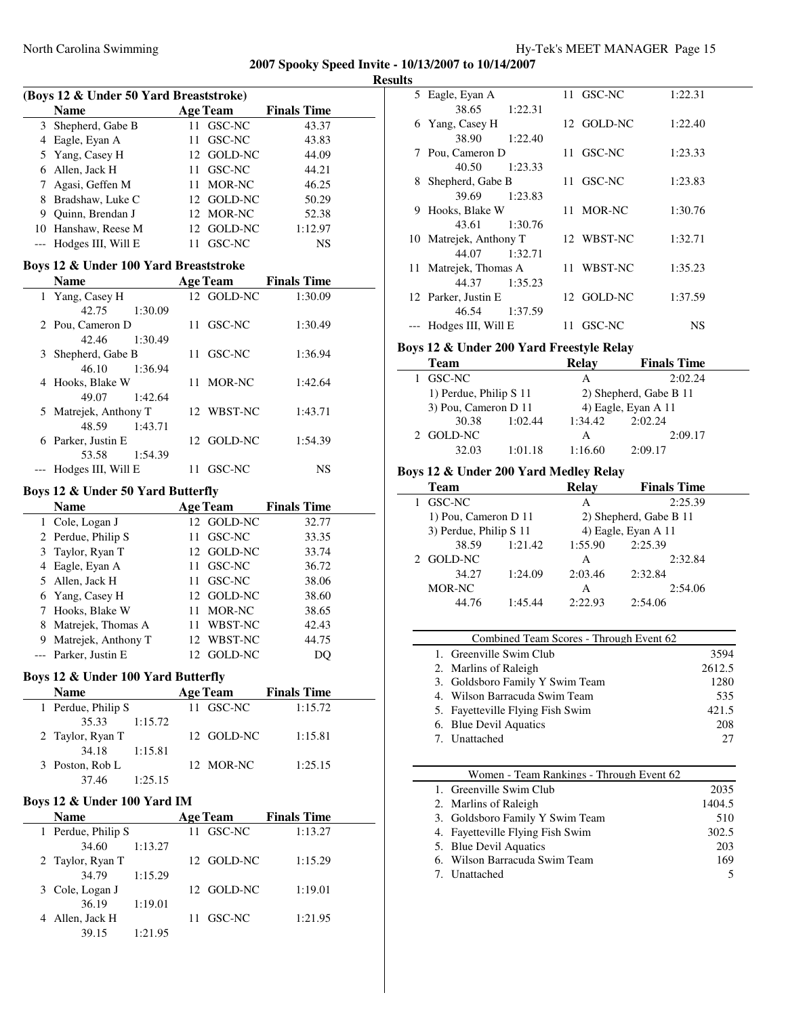| <b>Results</b> |
|----------------|
|----------------|

| (Boys 12 & Under 50 Yard Breaststroke) |  |        |                                                                                                                            |  |  |  |  |
|----------------------------------------|--|--------|----------------------------------------------------------------------------------------------------------------------------|--|--|--|--|
| <b>Name</b>                            |  |        | <b>Finals Time</b>                                                                                                         |  |  |  |  |
| 3 Shepherd, Gabe B                     |  |        | 43.37                                                                                                                      |  |  |  |  |
| 4 Eagle, Eyan A                        |  |        | 43.83                                                                                                                      |  |  |  |  |
| 5 Yang, Casey H                        |  |        | 44.09                                                                                                                      |  |  |  |  |
| 6 Allen, Jack H                        |  |        | 44.21                                                                                                                      |  |  |  |  |
| Agasi, Geffen M                        |  |        | 46.25                                                                                                                      |  |  |  |  |
| Bradshaw, Luke C                       |  |        | 50.29                                                                                                                      |  |  |  |  |
| Quinn, Brendan J                       |  |        | 52.38                                                                                                                      |  |  |  |  |
| 10 Hanshaw, Reese M                    |  |        | 1:12.97                                                                                                                    |  |  |  |  |
| Hodges III, Will E                     |  | GSC-NC | NS                                                                                                                         |  |  |  |  |
|                                        |  |        | <b>Age Team</b><br>11 GSC-NC<br>11 GSC-NC<br>12 GOLD-NC<br>11 GSC-NC<br>11 MOR-NC<br>12 GOLD-NC<br>12 MOR-NC<br>12 GOLD-NC |  |  |  |  |

#### **Boys 12 & Under 100 Yard Breaststroke**

| <b>Name</b>           |         |    | <b>Age Team</b> | <b>Finals Time</b> |  |
|-----------------------|---------|----|-----------------|--------------------|--|
| 1 Yang, Casey H       |         |    | 12 GOLD-NC      | 1:30.09            |  |
| 42.75                 | 1:30.09 |    |                 |                    |  |
| 2 Pou, Cameron D      |         |    | 11 GSC-NC       | 1:30.49            |  |
| 42.46                 | 1:30.49 |    |                 |                    |  |
| 3 Shepherd, Gabe B    |         |    | 11 GSC-NC       | 1:36.94            |  |
| 46.10                 | 1:36.94 |    |                 |                    |  |
| 4 Hooks, Blake W      |         |    | 11 MOR-NC       | 1:42.64            |  |
| 49.07 1:42.64         |         |    |                 |                    |  |
| 5 Matrejek, Anthony T |         |    | 12 WBST-NC      | 1:43.71            |  |
| 48.59                 | 1:43.71 |    |                 |                    |  |
| 6 Parker, Justin E    |         |    | 12 GOLD-NC      | 1:54.39            |  |
| 53.58                 | 1:54.39 |    |                 |                    |  |
| Hodges III, Will E    |         | 11 | GSC-NC          | NS                 |  |

#### **Boys 12 & Under 50 Yard Butterfly**

|   | Name                 |    | <b>Age Team</b> | <b>Finals Time</b> |       |  |
|---|----------------------|----|-----------------|--------------------|-------|--|
|   | 1 Cole, Logan J      |    | 12 GOLD-NC      |                    | 32.77 |  |
|   | 2 Perdue, Philip S   | 11 | GSC-NC          |                    | 33.35 |  |
|   | 3 Taylor, Ryan T     |    | 12 GOLD-NC      |                    | 33.74 |  |
|   | 4 Eagle, Eyan A      |    | 11 GSC-NC       |                    | 36.72 |  |
|   | 5 Allen, Jack H      | 11 | GSC-NC          |                    | 38.06 |  |
|   | 6 Yang, Casey H      |    | 12 GOLD-NC      |                    | 38.60 |  |
|   | 7 Hooks, Blake W     | 11 | MOR-NC          |                    | 38.65 |  |
|   | 8 Matrejek, Thomas A | 11 | WBST-NC         |                    | 42.43 |  |
| 9 | Matrejek, Anthony T  |    | 12 WBST-NC      |                    | 44.75 |  |
|   | --- Parker, Justin E |    | GOLD-NC         |                    |       |  |

# **Boys 12 & Under 100 Yard Butterfly**

| <b>Name</b>        | <b>Age Team</b> | <b>Finals Time</b> |
|--------------------|-----------------|--------------------|
| 1 Perdue, Philip S | 11 GSC-NC       | 1:15.72            |
| 35.33<br>1:15.72   |                 |                    |
| 2 Taylor, Ryan T   | 12 GOLD-NC      | 1:15.81            |
| 34.18<br>1:15.81   |                 |                    |
| 3 Poston, Rob L    | 12 MOR-NC       | 1:25.15            |
| 37.46<br>1:25.15   |                 |                    |

#### **Boys 12 & Under 100 Yard IM**

| <b>Name</b>        | <b>Age Team</b> | <b>Finals Time</b> |
|--------------------|-----------------|--------------------|
| 1 Perdue, Philip S | 11 GSC-NC       | 1:13.27            |
| 34.60<br>1:13.27   |                 |                    |
| 2 Taylor, Ryan T   | 12 GOLD-NC      | 1:15.29            |
| 34.79<br>1:15.29   |                 |                    |
| 3 Cole, Logan J    | 12 GOLD-NC      | 1:19.01            |
| 36.19<br>1:19.01   |                 |                    |
| Allen, Jack H      | 11 GSC-NC       | 1:21.95            |
| 1:21.95<br>39.15   |                 |                    |

|   | 5 Eagle, Eyan A        |    | 11 GSC-NC  | 1:22.31 |  |
|---|------------------------|----|------------|---------|--|
|   | 38.65<br>1:22.31       |    |            |         |  |
|   | 6 Yang, Casey H        |    | 12 GOLD-NC | 1:22.40 |  |
|   | 1:22.40<br>38.90       |    |            |         |  |
|   | 7 Pou, Cameron D       |    | 11 GSC-NC  | 1:23.33 |  |
|   | 40.50<br>1:23.33       |    |            |         |  |
| 8 | Shepherd, Gabe B       |    | 11 GSC-NC  | 1:23.83 |  |
|   | 1:23.83<br>39.69       |    |            |         |  |
| 9 | Hooks, Blake W         |    | 11 MOR-NC  | 1:30.76 |  |
|   | 43.61<br>1:30.76       |    |            |         |  |
|   | 10 Matrejek, Anthony T |    | 12 WBST-NC | 1:32.71 |  |
|   | 44.07<br>1:32.71       |    |            |         |  |
|   | 11 Matrejek, Thomas A  |    | 11 WBST-NC | 1:35.23 |  |
|   | 44.37<br>1:35.23       |    |            |         |  |
|   | 12 Parker, Justin E    |    | 12 GOLD-NC | 1:37.59 |  |
|   | 1:37.59<br>46.54       |    |            |         |  |
|   | --- Hodges III, Will E | 11 | GSC-NC     | NS      |  |

# **Boys 12 & Under 200 Yard Freestyle Relay**

| Team                   |         | Relay   | <b>Finals Time</b>     |
|------------------------|---------|---------|------------------------|
| 1 GSC-NC               |         | А       | 2:02.24                |
| 1) Perdue, Philip S 11 |         |         | 2) Shepherd, Gabe B 11 |
| 3) Pou, Cameron D 11   |         |         | 4) Eagle, Eyan A 11    |
| 30.38                  | 1:02.44 | 1:34.42 | 2:02.24                |
| 2 GOLD-NC              |         | А       | 2:09.17                |
| 32.03                  | 1:01.18 | 1:16.60 | 2:09.17                |

# **Boys 12 & Under 200 Yard Medley Relay**

|         | Relay                                          | <b>Finals Time</b>     |
|---------|------------------------------------------------|------------------------|
|         | А                                              | 2:25.39                |
|         |                                                | 2) Shepherd, Gabe B 11 |
|         |                                                | 4) Eagle, Eyan A 11    |
| 1:21.42 | 1:55.90                                        | 2:25.39                |
|         | А                                              | 2:32.84                |
| 1:24.09 | 2:03.46                                        | 2:32.84                |
|         | А                                              | 2:54.06                |
| 1:45.44 | 2:22.93                                        | 2:54.06                |
|         | 1) Pou, Cameron D 11<br>3) Perdue, Philip S 11 |                        |

| Combined Team Scores - Through Event 62 |        |  |
|-----------------------------------------|--------|--|
| 1. Greenville Swim Club                 | 3594   |  |
| 2. Marlins of Raleigh                   | 2612.5 |  |
| 3. Goldsboro Family Y Swim Team         | 1280   |  |
| 4. Wilson Barracuda Swim Team           | 535    |  |
| 5. Fayetteville Flying Fish Swim        | 421.5  |  |
| 6. Blue Devil Aquatics                  | 208    |  |
| 7. Unattached                           | 27     |  |

## Women - Team Rankings - Through Event 62

| 1. Greenville Swim Club          | 2035   |
|----------------------------------|--------|
| 2. Marlins of Raleigh            | 1404.5 |
| 3. Goldsboro Family Y Swim Team  | 510    |
| 4. Fayetteville Flying Fish Swim | 302.5  |
| 5. Blue Devil Aquatics           | 203    |
| 6. Wilson Barracuda Swim Team    | 169    |
| 7. Unattached                    |        |